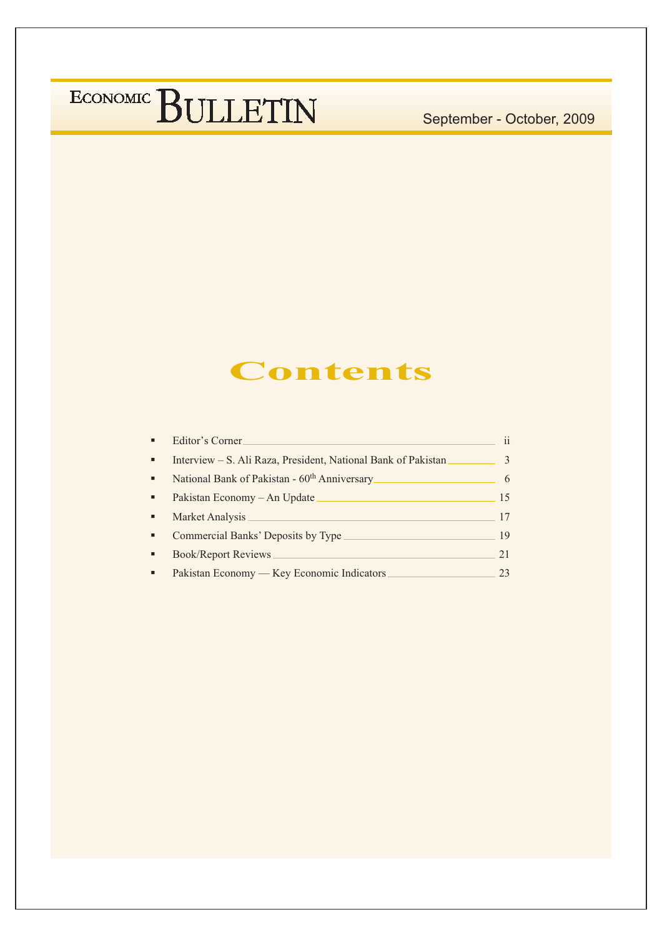#### September - October, 2009

#### **Contents**

|   | Editor's Corner.                                              |               |
|---|---------------------------------------------------------------|---------------|
| ٠ | Interview – S. Ali Raza, President, National Bank of Pakistan | $\mathcal{R}$ |
| ٠ | National Bank of Pakistan - 60 <sup>th</sup> Anniversary      | 6             |
| ٠ | Pakistan Economy – An Update                                  | 15            |
| ٠ | Market Analysis                                               | 17            |
| ٠ | Commercial Banks' Deposits by Type                            | 19            |
|   | <b>Book/Report Reviews</b>                                    | 21            |
|   | Pakistan Economy — Key Economic Indicators                    | 23            |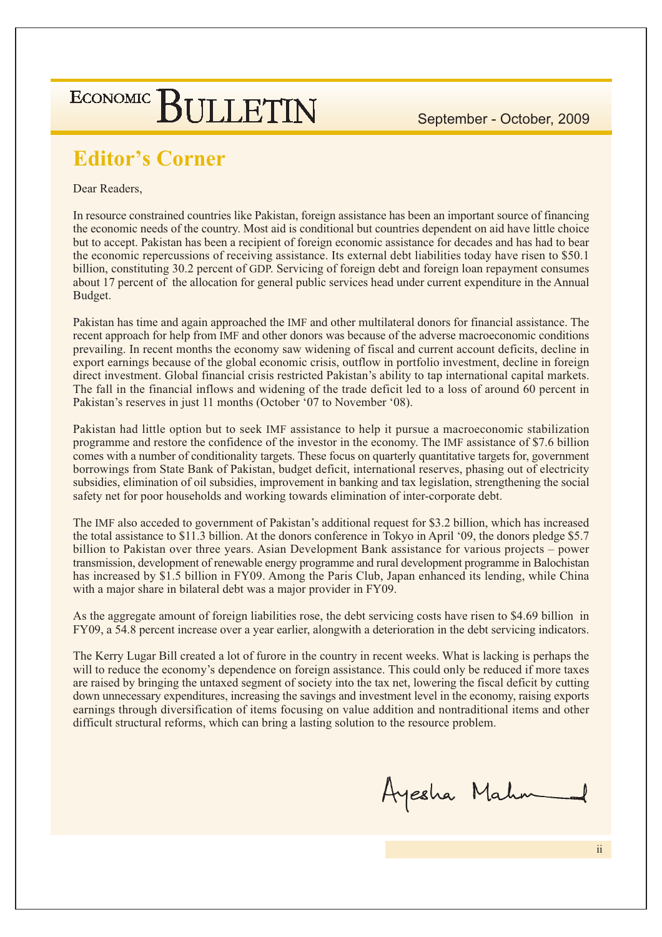#### **Editor's Corner**

Dear Readers,

In resource constrained countries like Pakistan, foreign assistance has been an important source of financing the economic needs of the country. Most aid is conditional but countries dependent on aid have little choice but to accept. Pakistan has been a recipient of foreign economic assistance for decades and has had to bear the economic repercussions of receiving assistance. Its external debt liabilities today have risen to \$50.1 billion, constituting 30.2 percent of GDP. Servicing of foreign debt and foreign loan repayment consumes about 17 percent of the allocation for general public services head under current expenditure in the Annual Budget.

Pakistan has time and again approached the IMF and other multilateral donors for financial assistance. The recent approach for help from IMF and other donors was because of the adverse macroeconomic conditions prevailing. In recent months the economy saw widening of fiscal and current account deficits, decline in export earnings because of the global economic crisis, outflow in portfolio investment, decline in foreign direct investment. Global financial crisis restricted Pakistan's ability to tap international capital markets. The fall in the financial inflows and widening of the trade deficit led to a loss of around 60 percent in Pakistan's reserves in just 11 months (October '07 to November '08).

Pakistan had little option but to seek IMF assistance to help it pursue a macroeconomic stabilization programme and restore the confidence of the investor in the economy. The IMF assistance of \$7.6 billion comes with a number of conditionality targets. These focus on quarterly quantitative targets for, government borrowings from State Bank of Pakistan, budget deficit, international reserves, phasing out of electricity subsidies, elimination of oil subsidies, improvement in banking and tax legislation, strengthening the social safety net for poor households and working towards elimination of inter-corporate debt.

The IMF also acceded to government of Pakistan's additional request for \$3.2 billion, which has increased the total assistance to \$11.3 billion. At the donors conference in Tokyo in April '09, the donors pledge \$5.7 billion to Pakistan over three years. Asian Development Bank assistance for various projects – power transmission, development of renewable energy programme and rural development programme in Balochistan has increased by \$1.5 billion in FY09. Among the Paris Club, Japan enhanced its lending, while China with a major share in bilateral debt was a major provider in FY09.

As the aggregate amount of foreign liabilities rose, the debt servicing costs have risen to \$4.69 billion in FY09, a 54.8 percent increase over a year earlier, alongwith a deterioration in the debt servicing indicators.

The Kerry Lugar Bill created a lot of furore in the country in recent weeks. What is lacking is perhaps the will to reduce the economy's dependence on foreign assistance. This could only be reduced if more taxes are raised by bringing the untaxed segment of society into the tax net, lowering the fiscal deficit by cutting down unnecessary expenditures, increasing the savings and investment level in the economy, raising exports earnings through diversification of items focusing on value addition and nontraditional items and other difficult structural reforms, which can bring a lasting solution to the resource problem.

Ayesha Mahn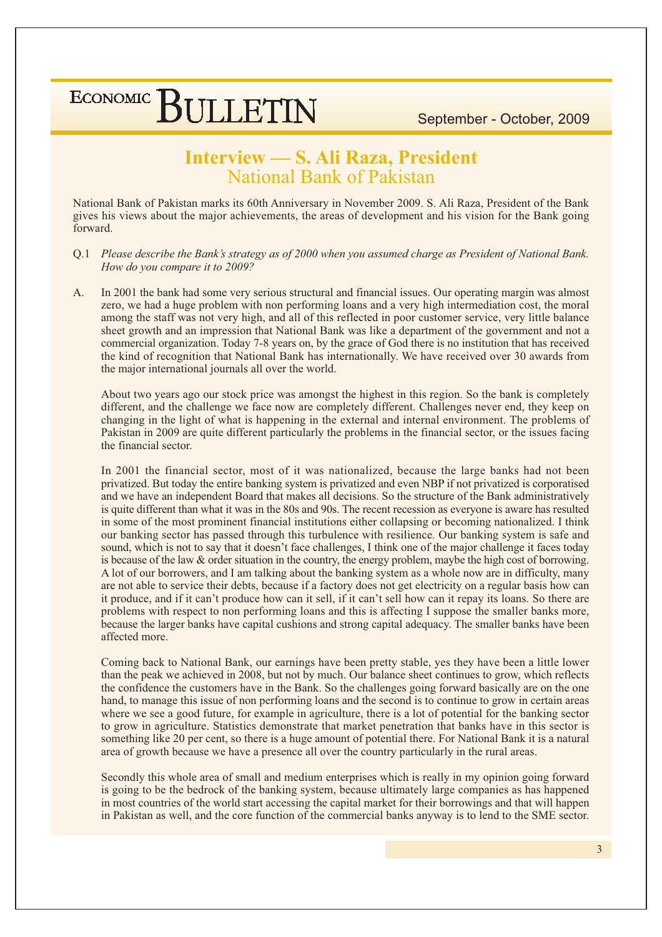September - October, 2009

#### Interview - S. Ali Raza, President National Bank of Pakistan

National Bank of Pakistan marks its 60th Anniversary in November 2009. S. Ali Raza, President of the Bank gives his views about the major achievements, the areas of development and his vision for the Bank going forward.

- Q.1 Please describe the Bank's strategy as of 2000 when you assumed charge as President of National Bank. How do you compare it to 2009?
- $A<sub>1</sub>$ In 2001 the bank had some very serious structural and financial issues. Our operating margin was almost zero, we had a huge problem with non performing loans and a very high intermediation cost, the moral among the staff was not very high, and all of this reflected in poor customer service, very little balance sheet growth and an impression that National Bank was like a department of the government and not a commercial organization. Today 7-8 years on, by the grace of God there is no institution that has received the kind of recognition that National Bank has internationally. We have received over 30 awards from the major international journals all over the world.

About two years ago our stock price was amongst the highest in this region. So the bank is completely different, and the challenge we face now are completely different. Challenges never end, they keep on changing in the light of what is happening in the external and internal environment. The problems of Pakistan in 2009 are quite different particularly the problems in the financial sector, or the issues facing the financial sector.

In 2001 the financial sector, most of it was nationalized, because the large banks had not been privatized. But today the entire banking system is privatized and even NBP if not privatized is corporatised and we have an independent Board that makes all decisions. So the structure of the Bank administratively is quite different than what it was in the 80s and 90s. The recent recession as everyone is aware has resulted in some of the most prominent financial institutions either collapsing or becoming nationalized. I think our banking sector has passed through this turbulence with resilience. Our banking system is safe and sound, which is not to say that it doesn't face challenges, I think one of the major challenge it faces today is because of the law  $\&$  order situation in the country, the energy problem, maybe the high cost of borrowing. A lot of our borrowers, and I am talking about the banking system as a whole now are in difficulty, many are not able to service their debts, because if a factory does not get electricity on a regular basis how can it produce, and if it can't produce how can it sell, if it can't sell how can it repay its loans. So there are problems with respect to non performing loans and this is affecting I suppose the smaller banks more, because the larger banks have capital cushions and strong capital adequacy. The smaller banks have been affected more.

Coming back to National Bank, our earnings have been pretty stable, yes they have been a little lower than the peak we achieved in 2008, but not by much. Our balance sheet continues to grow, which reflects the confidence the customers have in the Bank. So the challenges going forward basically are on the one hand, to manage this issue of non performing loans and the second is to continue to grow in certain areas where we see a good future, for example in agriculture, there is a lot of potential for the banking sector to grow in agriculture. Statistics demonstrate that market penetration that banks have in this sector is something like 20 per cent, so there is a huge amount of potential there. For National Bank it is a natural area of growth because we have a presence all over the country particularly in the rural areas.

Secondly this whole area of small and medium enterprises which is really in my opinion going forward is going to be the bedrock of the banking system, because ultimately large companies as has happened in most countries of the world start accessing the capital market for their borrowings and that will happen in Pakistan as well, and the core function of the commercial banks anyway is to lend to the SME sector.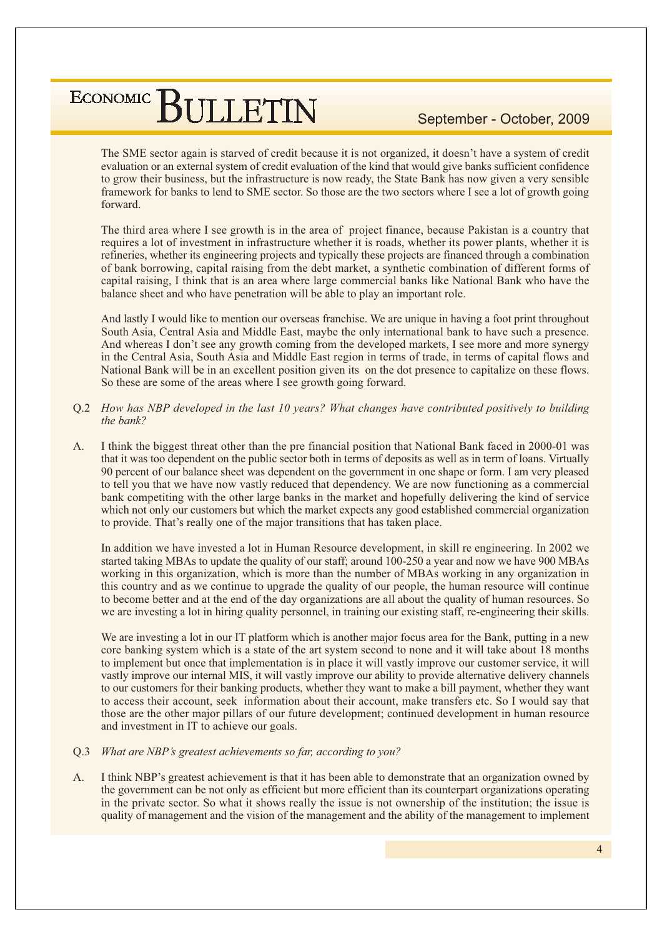September - October, 2009

The SME sector again is starved of credit because it is not organized, it doesn't have a system of credit evaluation or an external system of credit evaluation of the kind that would give banks sufficient confidence to grow their business, but the infrastructure is now ready, the State Bank has now given a very sensible framework for banks to lend to SME sector. So those are the two sectors where I see a lot of growth going forward

The third area where I see growth is in the area of project finance, because Pakistan is a country that requires a lot of investment in infrastructure whether it is roads, whether its power plants, whether it is refineries, whether its engineering projects and typically these projects are financed through a combination of bank borrowing, capital raising from the debt market, a synthetic combination of different forms of capital raising, I think that is an area where large commercial banks like National Bank who have the balance sheet and who have penetration will be able to play an important role.

And lastly I would like to mention our overseas franchise. We are unique in having a foot print throughout South Asia, Central Asia and Middle East, maybe the only international bank to have such a presence. And whereas I don't see any growth coming from the developed markets, I see more and more synergy in the Central Asia, South Asia and Middle East region in terms of trade, in terms of capital flows and National Bank will be in an excellent position given its on the dot presence to capitalize on these flows. So these are some of the areas where I see growth going forward.

- Q.2 How has NBP developed in the last 10 years? What changes have contributed positively to building the bank?
- I think the biggest threat other than the pre-financial position that National Bank faced in 2000-01 was  $A_{1}$ that it was too dependent on the public sector both in terms of deposits as well as in term of loans. Virtually 90 percent of our balance sheet was dependent on the government in one shape or form. I am very pleased to tell you that we have now vastly reduced that dependency. We are now functioning as a commercial bank competiting with the other large banks in the market and hopefully delivering the kind of service which not only our customers but which the market expects any good established commercial organization to provide. That's really one of the major transitions that has taken place.

In addition we have invested a lot in Human Resource development, in skill re engineering. In 2002 we started taking MBAs to update the quality of our staff; around 100-250 a year and now we have 900 MBAs working in this organization, which is more than the number of MBAs working in any organization in this country and as we continue to upgrade the quality of our people, the human resource will continue to become better and at the end of the day organizations are all about the quality of human resources. So we are investing a lot in hiring quality personnel, in training our existing staff, re-engineering their skills.

We are investing a lot in our IT platform which is another major focus area for the Bank, putting in a new core banking system which is a state of the art system second to none and it will take about 18 months to implement but once that implementation is in place it will vastly improve our customer service, it will vastly improve our internal MIS, it will vastly improve our ability to provide alternative delivery channels to our customers for their banking products, whether they want to make a bill payment, whether they want to access their account, seek information about their account, make transfers etc. So I would say that those are the other major pillars of our future development; continued development in human resource and investment in IT to achieve our goals.

- Q.3 What are NBP's greatest achievements so far, according to you?
- $\Delta$ I think NBP's greatest achievement is that it has been able to demonstrate that an organization owned by the government can be not only as efficient but more efficient than its counterpart organizations operating in the private sector. So what it shows really the issue is not ownership of the institution; the issue is quality of management and the vision of the management and the ability of the management to implement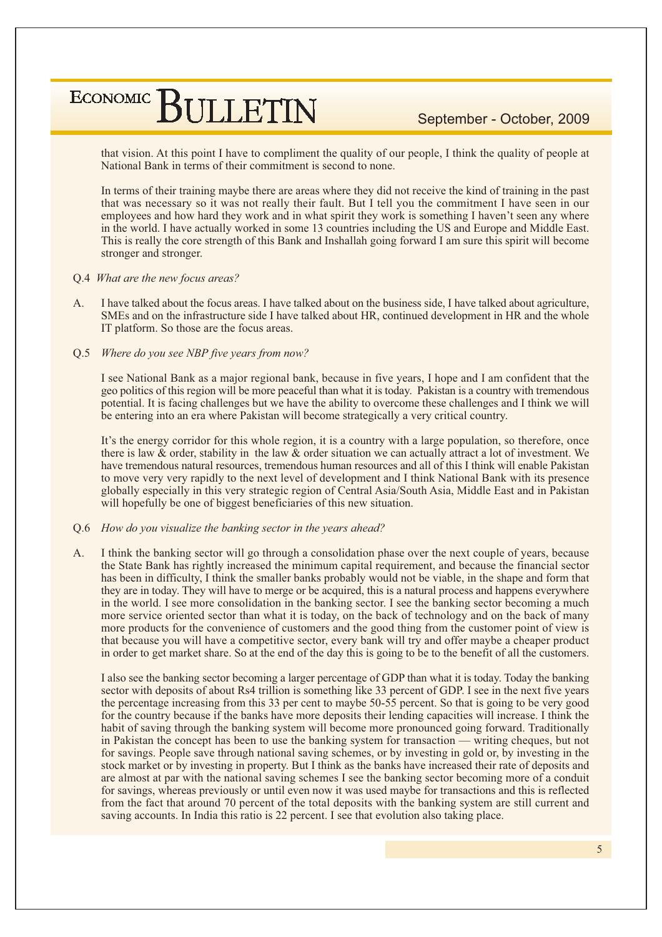September - October, 2009

that vision. At this point I have to compliment the quality of our people, I think the quality of people at National Bank in terms of their commitment is second to none.

In terms of their training maybe there are areas where they did not receive the kind of training in the past that was necessary so it was not really their fault. But I tell you the commitment I have seen in our employees and how hard they work and in what spirit they work is something I haven't seen any where in the world. I have actually worked in some 13 countries including the US and Europe and Middle East. This is really the core strength of this Bank and Inshallah going forward I am sure this spirit will become stronger and stronger.

#### O.4 What are the new focus areas?

- $\Delta$ I have talked about the focus areas. I have talked about on the business side, I have talked about agriculture, SMEs and on the infrastructure side I have talked about HR, continued development in HR and the whole IT platform. So those are the focus areas.
- Q.5 Where do you see NBP five years from now?

I see National Bank as a major regional bank, because in five years, I hope and I am confident that the geo politics of this region will be more peaceful than what it is today. Pakistan is a country with tremendous potential. It is facing challenges but we have the ability to overcome these challenges and I think we will be entering into an era where Pakistan will become strategically a very critical country.

It's the energy corridor for this whole region, it is a country with a large population, so therefore, once there is law & order, stability in the law & order situation we can actually attract a lot of investment. We have tremendous natural resources, tremendous human resources and all of this I think will enable Pakistan to move very very rapidly to the next level of development and I think National Bank with its presence globally especially in this very strategic region of Central Asia/South Asia, Middle East and in Pakistan will hopefully be one of biggest beneficiaries of this new situation.

#### Q.6 How do you visualize the banking sector in the years ahead?

I think the banking sector will go through a consolidation phase over the next couple of years, because  $A_{\cdot}$ the State Bank has rightly increased the minimum capital requirement, and because the financial sector has been in difficulty, I think the smaller banks probably would not be viable, in the shape and form that they are in today. They will have to merge or be acquired, this is a natural process and happens everywhere in the world. I see more consolidation in the banking sector. I see the banking sector becoming a much more service oriented sector than what it is today, on the back of technology and on the back of many more products for the convenience of customers and the good thing from the customer point of view is that because you will have a competitive sector, every bank will try and offer maybe a cheaper product in order to get market share. So at the end of the day this is going to be to the benefit of all the customers.

I also see the banking sector becoming a larger percentage of GDP than what it is today. Today the banking sector with deposits of about Rs4 trillion is something like 33 percent of GDP. I see in the next five years the percentage increasing from this 33 per cent to maybe 50-55 percent. So that is going to be very good for the country because if the banks have more deposits their lending capacities will increase. I think the habit of saving through the banking system will become more pronounced going forward. Traditionally in Pakistan the concept has been to use the banking system for transaction — writing cheques, but not for savings. People save through national saving schemes, or by investing in gold or, by investing in the stock market or by investing in property. But I think as the banks have increased their rate of deposits and are almost at par with the national saving schemes I see the banking sector becoming more of a conduit for savings, whereas previously or until even now it was used maybe for transactions and this is reflected from the fact that around 70 percent of the total deposits with the banking system are still current and saving accounts. In India this ratio is 22 percent. I see that evolution also taking place.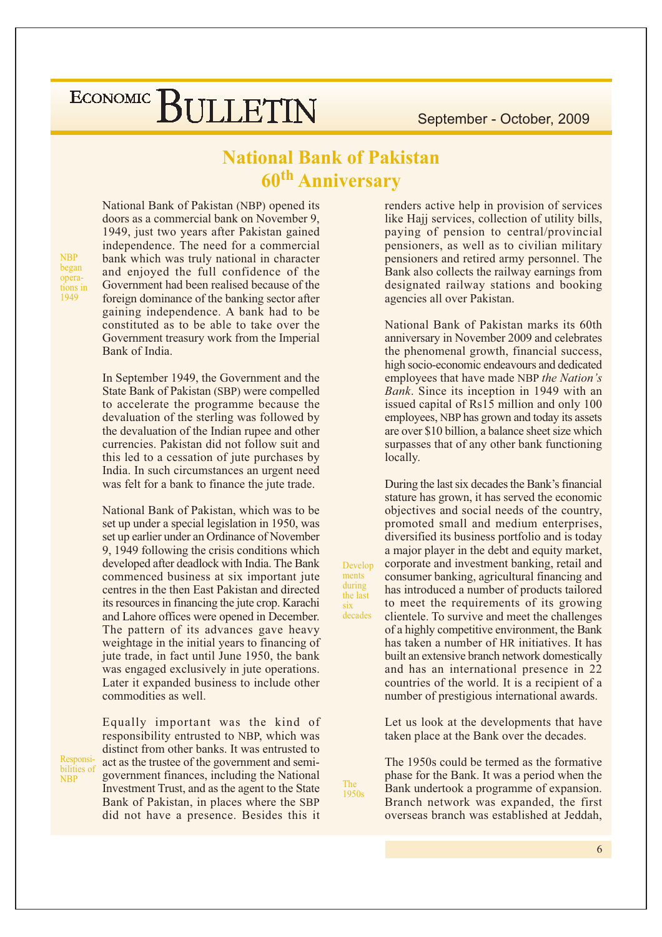#### **National Bank of Pakistan 60th Anniversary**

**NBP** began operations in 1949

**NBP** 

National Bank of Pakistan (NBP) opened its doors as a commercial bank on November 9, 1949, just two years after Pakistan gained independence. The need for a commercial bank which was truly national in character and enjoyed the full confidence of the Government had been realised because of the foreign dominance of the banking sector after gaining independence. A bank had to be constituted as to be able to take over the Government treasury work from the Imperial Bank of India.

In September 1949, the Government and the State Bank of Pakistan (SBP) were compelled to accelerate the programme because the devaluation of the sterling was followed by the devaluation of the Indian rupee and other currencies. Pakistan did not follow suit and this led to a cessation of jute purchases by India. In such circumstances an urgent need was felt for a bank to finance the jute trade.

National Bank of Pakistan, which was to be set up under a special legislation in 1950, was set up earlier under an Ordinance of November 9, 1949 following the crisis conditions which developed after deadlock with India. The Bank commenced business at six important jute centres in the then East Pakistan and directed its resources in financing the jute crop. Karachi and Lahore offices were opened in December. The pattern of its advances gave heavy weightage in the initial years to financing of jute trade, in fact until June 1950, the bank was engaged exclusively in jute operations. Later it expanded business to include other commodities as well.

Equally important was the kind of responsibility entrusted to NBP, which was distinct from other banks. It was entrusted to Responsiact as the trustee of the government and semibilities of government finances, including the National Investment Trust, and as the agent to the State Bank of Pakistan, in places where the SBP did not have a presence. Besides this it

renders active help in provision of services like Hajj services, collection of utility bills, paying of pension to central/provincial pensioners, as well as to civilian military pensioners and retired army personnel. The Bank also collects the railway earnings from designated railway stations and booking agencies all over Pakistan.

National Bank of Pakistan marks its 60th anniversary in November 2009 and celebrates the phenomenal growth, financial success, high socio-economic endeavours and dedicated employees that have made NBP the Nation's Bank. Since its inception in 1949 with an issued capital of Rs15 million and only 100 employees, NBP has grown and today its assets are over \$10 billion, a balance sheet size which surpasses that of any other bank functioning locally.

During the last six decades the Bank's financial stature has grown, it has served the economic objectives and social needs of the country, promoted small and medium enterprises, diversified its business portfolio and is today a major player in the debt and equity market, corporate and investment banking, retail and consumer banking, agricultural financing and has introduced a number of products tailored to meet the requirements of its growing clientele. To survive and meet the challenges of a highly competitive environment, the Bank has taken a number of HR initiatives. It has built an extensive branch network domestically and has an international presence in 22 countries of the world. It is a recipient of a number of prestigious international awards.

Let us look at the developments that have taken place at the Bank over the decades.

The 1950s could be termed as the formative phase for the Bank. It was a period when the Bank undertook a programme of expansion. Branch network was expanded, the first overseas branch was established at Jeddah.

The

1950s

Develop

ments during

the last

 $six$ decades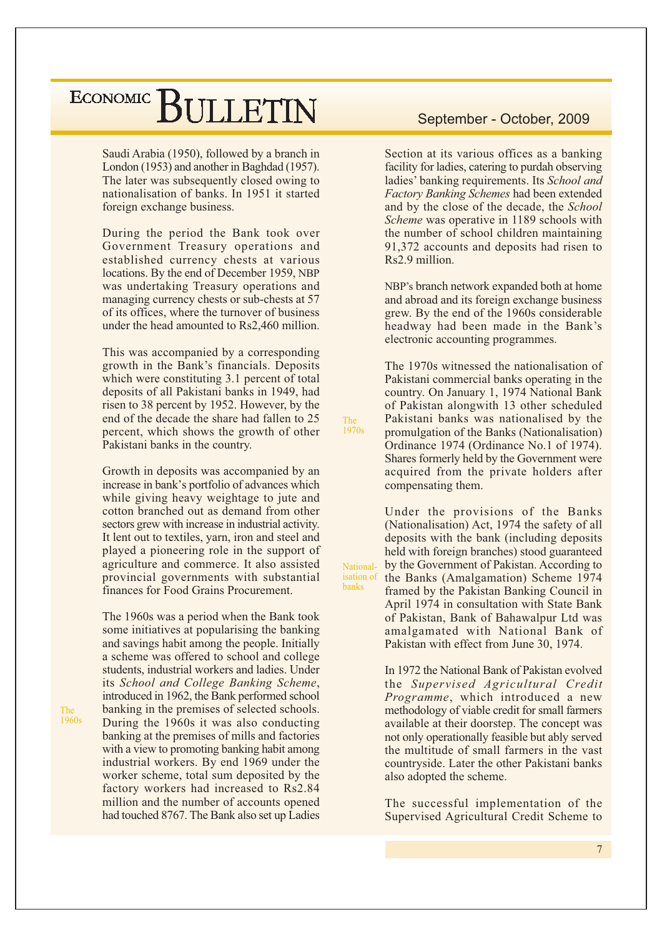Saudi Arabia (1950), followed by a branch in London (1953) and another in Baghdad (1957). The later was subsequently closed owing to nationalisation of banks. In 1951 it started foreign exchange business.

During the period the Bank took over Government Treasury operations and established currency chests at various locations. By the end of December 1959, NBP was undertaking Treasury operations and managing currency chests or sub-chests at 57 of its offices, where the turnover of business under the head amounted to Rs2,460 million.

This was accompanied by a corresponding growth in the Bank's financials. Deposits which were constituting 3.1 percent of total deposits of all Pakistani banks in 1949, had risen to 38 percent by 1952. However, by the end of the decade the share had fallen to 25 percent, which shows the growth of other Pakistani banks in the country.

Growth in deposits was accompanied by an increase in bank's portfolio of advances which while giving heavy weightage to jute and cotton branched out as demand from other sectors grew with increase in industrial activity. It lent out to textiles, yarn, iron and steel and played a pioneering role in the support of agriculture and commerce. It also assisted provincial governments with substantial finances for Food Grains Procurement.

The 1960s was a period when the Bank took some initiatives at popularising the banking and savings habit among the people. Initially a scheme was offered to school and college students, industrial workers and ladies. Under its School and College Banking Scheme, introduced in 1962, the Bank performed school banking in the premises of selected schools. During the 1960s it was also conducting banking at the premises of mills and factories with a view to promoting banking habit among industrial workers. By end 1969 under the worker scheme, total sum deposited by the factory workers had increased to Rs2.84 million and the number of accounts opened had touched 8767. The Bank also set up Ladies

#### September - October, 2009

Section at its various offices as a banking facility for ladies, catering to purdah observing ladies' banking requirements. Its School and Factory Banking Schemes had been extended and by the close of the decade, the School Scheme was operative in 1189 schools with the number of school children maintaining 91,372 accounts and deposits had risen to Rs2.9 million.

NBP's branch network expanded both at home and abroad and its foreign exchange business grew. By the end of the 1960s considerable headway had been made in the Bank's electronic accounting programmes.

The 1970s witnessed the nationalisation of Pakistani commercial banks operating in the country. On January 1, 1974 National Bank of Pakistan alongwith 13 other scheduled Pakistani banks was nationalised by the promulgation of the Banks (Nationalisation) Ordinance 1974 (Ordinance No.1 of 1974). Shares formerly held by the Government were acquired from the private holders after compensating them.

The<br>1970s

National-

**banks** 

Under the provisions of the Banks (Nationalisation) Act, 1974 the safety of all deposits with the bank (including deposits held with foreign branches) stood guaranteed by the Government of Pakistan. According to isation of the Banks (Amalgamation) Scheme 1974 framed by the Pakistan Banking Council in April 1974 in consultation with State Bank of Pakistan, Bank of Bahawalpur Ltd was amalgamated with National Bank of Pakistan with effect from June 30, 1974.

> In 1972 the National Bank of Pakistan evolved the Supervised Agricultural Credit Programme, which introduced a new methodology of viable credit for small farmers available at their doorstep. The concept was not only operationally feasible but ably served the multitude of small farmers in the vast countryside. Later the other Pakistani banks also adopted the scheme.

> The successful implementation of the Supervised Agricultural Credit Scheme to

The 1960s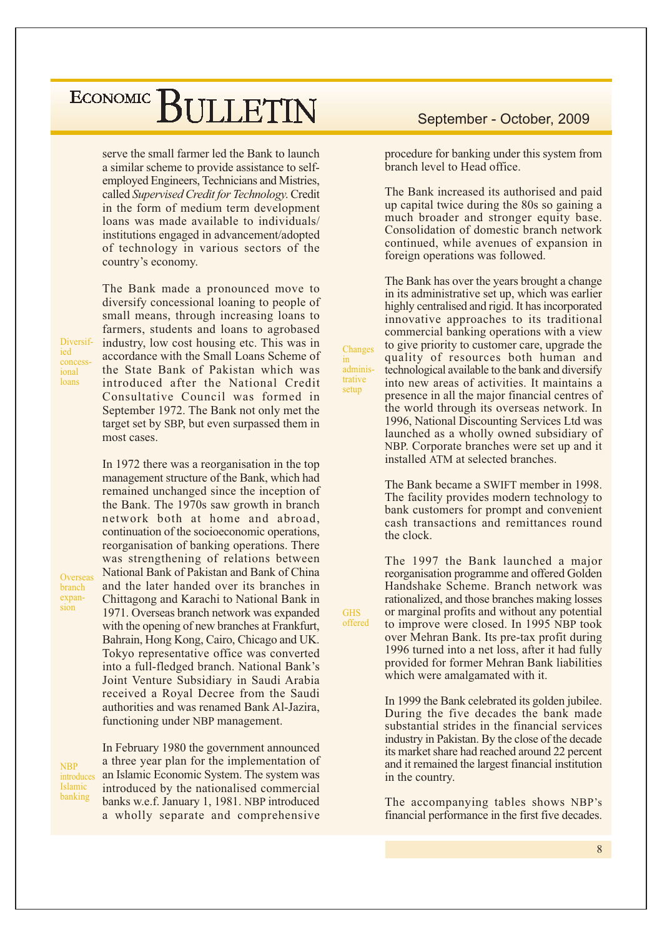serve the small farmer led the Bank to launch a similar scheme to provide assistance to selfemployed Engineers, Technicians and Mistries, called Supervised Credit for Technology. Credit in the form of medium term development loans was made available to individuals/ institutions engaged in advancement/adopted of technology in various sectors of the country's economy.

The Bank made a pronounced move to diversify concessional loaning to people of small means, through increasing loans to farmers, students and loans to agrobased industry, low cost housing etc. This was in accordance with the Small Loans Scheme of the State Bank of Pakistan which was introduced after the National Credit Consultative Council was formed in September 1972. The Bank not only met the target set by SBP, but even surpassed them in most cases.

In 1972 there was a reorganisation in the top management structure of the Bank, which had remained unchanged since the inception of the Bank. The 1970s saw growth in branch network both at home and abroad, continuation of the socioeconomic operations, reorganisation of banking operations. There was strengthening of relations between National Bank of Pakistan and Bank of China and the later handed over its branches in Chittagong and Karachi to National Bank in 1971. Overseas branch network was expanded with the opening of new branches at Frankfurt, Bahrain, Hong Kong, Cairo, Chicago and UK. Tokyo representative office was converted into a full-fledged branch. National Bank's Joint Venture Subsidiary in Saudi Arabia received a Royal Decree from the Saudi authorities and was renamed Bank Al-Jazira, functioning under NBP management.

In February 1980 the government announced a three year plan for the implementation of an Islamic Economic System. The system was introduced by the nationalised commercial banks w.e.f. January 1, 1981. NBP introduced a wholly separate and comprehensive

#### September - October, 2009

procedure for banking under this system from branch level to Head office.

The Bank increased its authorised and paid up capital twice during the 80s so gaining a much broader and stronger equity base. Consolidation of domestic branch network continued, while avenues of expansion in foreign operations was followed.

The Bank has over the years brought a change in its administrative set up, which was earlier highly centralised and rigid. It has incorporated innovative approaches to its traditional commercial banking operations with a view to give priority to customer care, upgrade the quality of resources both human and technological available to the bank and diversify into new areas of activities. It maintains a presence in all the major financial centres of the world through its overseas network. In 1996. National Discounting Services Ltd was launched as a wholly owned subsidiary of NBP. Corporate branches were set up and it installed ATM at selected branches.

Changes

adminis-

trative

setup

**GHS** 

offered

 $in$ 

The Bank became a SWIFT member in 1998. The facility provides modern technology to bank customers for prompt and convenient cash transactions and remittances round the clock.

The 1997 the Bank launched a major reorganisation programme and offered Golden Handshake Scheme. Branch network was rationalized, and those branches making losses or marginal profits and without any potential to improve were closed. In 1995 NBP took over Mehran Bank. Its pre-tax profit during 1996 turned into a net loss, after it had fully provided for former Mehran Bank liabilities which were amalgamated with it.

In 1999 the Bank celebrated its golden jubilee. During the five decades the bank made substantial strides in the financial services industry in Pakistan. By the close of the decade its market share had reached around 22 percent and it remained the largest financial institution in the country.

The accompanying tables shows NBP's financial performance in the first five decades.

Diversified concess ional loans

Overseas

**branch** expan-

sion

**NBP** introduces Islamic banking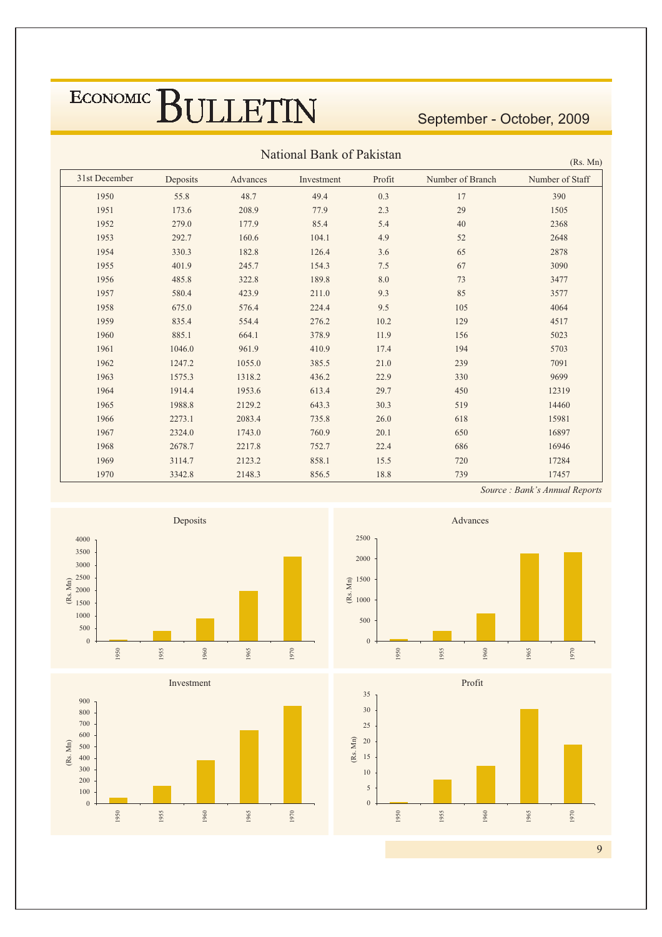September - October, 2009

| National Bank of Pakistan<br>(Rs. Mn) |          |          |            |        |                  |                 |  |  |  |  |  |  |  |
|---------------------------------------|----------|----------|------------|--------|------------------|-----------------|--|--|--|--|--|--|--|
| 31st December                         | Deposits | Advances | Investment | Profit | Number of Branch | Number of Staff |  |  |  |  |  |  |  |
| 1950                                  | 55.8     | 48.7     | 49.4       | 0.3    | 17               | 390             |  |  |  |  |  |  |  |
| 1951                                  | 173.6    | 208.9    | 77.9       | 2.3    | 29               | 1505            |  |  |  |  |  |  |  |
| 1952                                  | 279.0    | 177.9    | 85.4       | 5.4    | 40               | 2368            |  |  |  |  |  |  |  |
| 1953                                  | 292.7    | 160.6    | 104.1      | 4.9    | 52               | 2648            |  |  |  |  |  |  |  |
| 1954                                  | 330.3    | 182.8    | 126.4      | 3.6    | 65               | 2878            |  |  |  |  |  |  |  |
| 1955                                  | 401.9    | 245.7    | 154.3      | 7.5    | 67               | 3090            |  |  |  |  |  |  |  |
| 1956                                  | 485.8    | 322.8    | 189.8      | 8.0    | 73               | 3477            |  |  |  |  |  |  |  |
| 1957                                  | 580.4    | 423.9    | 211.0      | 9.3    | 85               | 3577            |  |  |  |  |  |  |  |
| 1958                                  | 675.0    | 576.4    | 224.4      | 9.5    | 105              | 4064            |  |  |  |  |  |  |  |
| 1959                                  | 835.4    | 554.4    | 276.2      | 10.2   | 129              | 4517            |  |  |  |  |  |  |  |
| 1960                                  | 885.1    | 664.1    | 378.9      | 11.9   | 156              | 5023            |  |  |  |  |  |  |  |
| 1961                                  | 1046.0   | 961.9    | 410.9      | 17.4   | 194              | 5703            |  |  |  |  |  |  |  |
| 1962                                  | 1247.2   | 1055.0   | 385.5      | 21.0   | 239              | 7091            |  |  |  |  |  |  |  |
| 1963                                  | 1575.3   | 1318.2   | 436.2      | 22.9   | 330              | 9699            |  |  |  |  |  |  |  |
| 1964                                  | 1914.4   | 1953.6   | 613.4      | 29.7   | 450              | 12319           |  |  |  |  |  |  |  |
| 1965                                  | 1988.8   | 2129.2   | 643.3      | 30.3   | 519              | 14460           |  |  |  |  |  |  |  |
| 1966                                  | 2273.1   | 2083.4   | 735.8      | 26.0   | 618              | 15981           |  |  |  |  |  |  |  |
| 1967                                  | 2324.0   | 1743.0   | 760.9      | 20.1   | 650              | 16897           |  |  |  |  |  |  |  |
| 1968                                  | 2678.7   | 2217.8   | 752.7      | 22.4   | 686              | 16946           |  |  |  |  |  |  |  |
| 1969                                  | 3114.7   | 2123.2   | 858.1      | 15.5   | 720              | 17284           |  |  |  |  |  |  |  |
| 1970                                  | 3342.8   | 2148.3   | 856.5      | 18.8   | 739              | 17457           |  |  |  |  |  |  |  |









Source : Bank's Annual Reports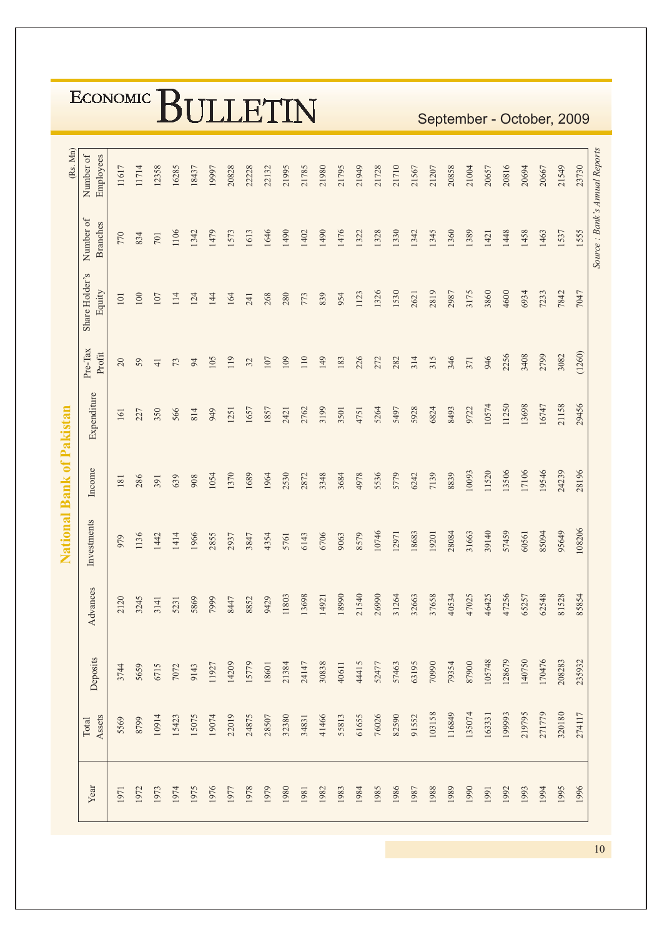|                           |                              |        |       |                |       |       | ULLLLIIN |       |       |       |       |       |       |       |       |       |       |       |        |        |        |        |        |        |        |        | September - October, 2009 |
|---------------------------|------------------------------|--------|-------|----------------|-------|-------|----------|-------|-------|-------|-------|-------|-------|-------|-------|-------|-------|-------|--------|--------|--------|--------|--------|--------|--------|--------|---------------------------|
| (Rs. Mn)                  | Number of<br>Employees       | 11617  | 11714 | 12358          | 16285 | 18437 | 19997    | 20828 | 22228 | 22132 | 21995 | 21785 | 21980 | 21795 | 21949 | 21728 | 21710 | 21567 | 21207  | 20858  | 21004  | 20657  | 20816  | 20694  | 20667  | 21549  | 23730                     |
|                           | Number of<br><b>Branches</b> | 770    | 834   | 701            | 1106  | 1342  | 1479     | 1573  | 1613  | 1646  | 1490  | 1402  | 1490  | 1476  | 1322  | 1328  | 1330  | 1342  | 1345   | 1360   | 1389   | 1421   | 1448   | 1458   | 1463   | 1537   | 1555                      |
|                           | Share Holder's<br>Equity     | 101    | 100   | 107            | 114   | 124   | 144      | 164   | 241   | 268   | 280   | 773   | 839   | 954   | 1123  | 1326  | 1530  | 2621  | 2819   | 2987   | 3175   | 3860   | 4600   | 6934   | 7233   | 7842   | 7047                      |
|                           | Pre-Tax<br>Profit            | $20\,$ | 59    | $\overline{4}$ | 73    | 94    | 105      | 119   | 32    | 107   | 109   | 110   | 149   | 183   | 226   | 272   | 282   | 314   | 315    | 346    | 371    | 946    | 2256   | 3408   | 2799   | 3082   | (1260)                    |
|                           | Expenditure                  | 161    | 227   | 350            | 566   | 814   | 949      | 1251  | 1657  | 1857  | 2421  | 2762  | 3199  | 3501  | 4751  | 5264  | 5497  | 5928  | 6824   | 8493   | 9722   | 10574  | 11250  | 13698  | 16747  | 21158  | 29456                     |
|                           | Income                       | 181    | 286   | 391            | 639   | 908   | 1054     | 1370  | 1689  | 1964  | 2530  | 2872  | 3348  | 3684  | 4978  | 5536  | 5779  | 6242  | 7139   | 8839   | 10093  | 11520  | 13506  | 17106  | 19546  | 24239  | 28196                     |
| National Bank of Pakistan | Investments                  | 979    | 1136  | 1442           | 1414  | 1966  | 2855     | 2937  | 3847  | 4354  | 5761  | 6143  | 6706  | 9063  | 8579  | 10746 | 12971 | 18683 | 19201  | 28084  | 31663  | 39140  | 57459  | 60561  | 85094  | 95649  | 108206                    |
|                           | Advances                     | 2120   | 3245  | 3141           | 5231  | 5869  | 7999     | 8447  | 8852  | 9429  | 11803 | 13698 | 14921 | 18990 | 21540 | 26990 | 31264 | 32663 | 37658  | 40534  | 47025  | 46425  | 47256  | 65257  | 62548  | 81528  | 85854                     |
|                           | Deposits                     | 3744   | 5659  | 6715           | 7072  | 9143  | 11927    | 14209 | 15779 | 18601 | 21384 | 24147 | 30838 | 40611 | 44415 | 52477 | 57463 | 63195 | 70990  | 79354  | 87900  | 105748 | 128679 | 140750 | 170476 | 208283 | 235932                    |
|                           | Assets<br>Total              | 5569   | 8799  | 10914          | 15423 | 15075 | 19074    | 22019 | 24875 | 28507 | 32380 | 34831 | 41466 | 55813 | 61655 | 76026 | 82590 | 91552 | 103158 | 116849 | 135074 | 163331 | 199993 | 219795 | 271779 | 320180 | 274117                    |
|                           | Year                         | 1971   | 1972  | 1973           | 1974  | 1975  | 1976     | 1977  | 1978  | 1979  | 1980  | 1981  | 1982  | 1983  | 1984  | 1985  | 1986  | 1987  | 1988   | 1989   | 1990   | 1991   | 1992   | 1993   | 1994   | 1995   | 1996                      |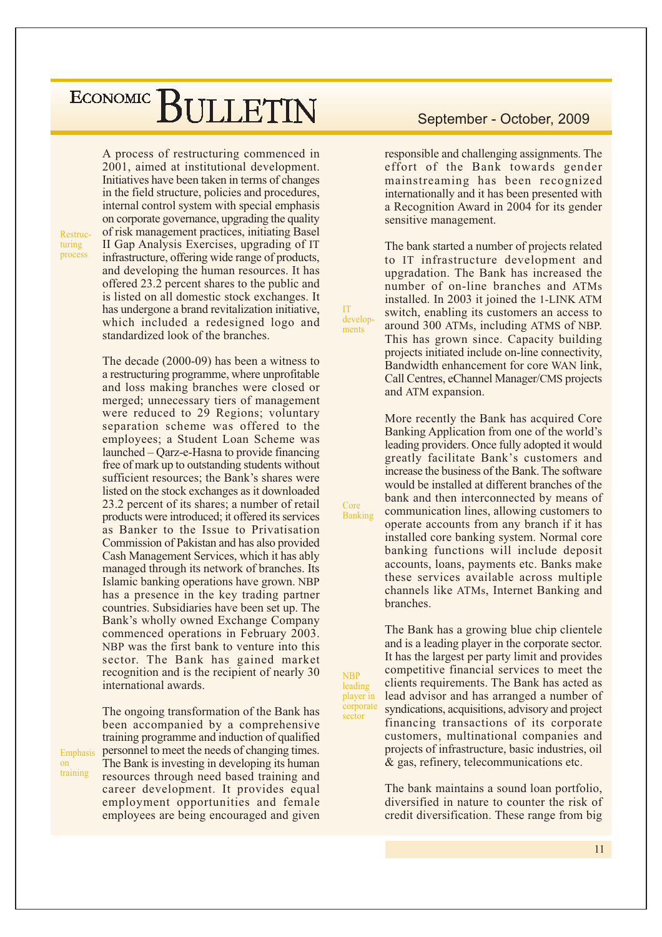A process of restructuring commenced in 2001, aimed at institutional development. Initiatives have been taken in terms of changes in the field structure, policies and procedures, internal control system with special emphasis on corporate governance, upgrading the quality of risk management practices, initiating Basel II Gap Analysis Exercises, upgrading of IT infrastructure, offering wide range of products, and developing the human resources. It has offered 23.2 percent shares to the public and is listed on all domestic stock exchanges. It has undergone a brand revitalization initiative, which included a redesigned logo and standardized look of the branches.

The decade  $(2000-09)$  has been a witness to a restructuring programme, where unprofitable and loss making branches were closed or merged; unnecessary tiers of management were reduced to 29 Regions; voluntary separation scheme was offered to the employees; a Student Loan Scheme was launched – Qarz-e-Hasna to provide financing free of mark up to outstanding students without sufficient resources; the Bank's shares were listed on the stock exchanges as it downloaded 23.2 percent of its shares; a number of retail products were introduced; it offered its services as Banker to the Issue to Privatisation Commission of Pakistan and has also provided Cash Management Services, which it has ably managed through its network of branches. Its Islamic banking operations have grown. NBP has a presence in the key trading partner countries. Subsidiaries have been set up. The Bank's wholly owned Exchange Company commenced operations in February 2003. NBP was the first bank to venture into this sector. The Bank has gained market recognition and is the recipient of nearly 30 international awards.

The ongoing transformation of the Bank has

employment opportunities and female

employees are being encouraged and given

been accompanied by a comprehensive training programme and induction of qualified personnel to meet the needs of changing times. Emphasis The Bank is investing in developing its human  $\alpha$ training resources through need based training and career development. It provides equal

Restruc-

turing

process

September - October, 2009

responsible and challenging assignments. The effort of the Bank towards gender mainstreaming has been recognized internationally and it has been presented with a Recognition Award in 2004 for its gender sensitive management.

The bank started a number of projects related to IT infrastructure development and upgradation. The Bank has increased the number of on-line branches and ATMs installed. In 2003 it joined the 1-LINK ATM switch, enabling its customers an access to around 300 ATMs, including ATMS of NBP. This has grown since. Capacity building projects initiated include on-line connectivity. Bandwidth enhancement for core WAN link, Call Centres, eChannel Manager/CMS projects and ATM expansion.

More recently the Bank has acquired Core Banking Application from one of the world's leading providers. Once fully adopted it would greatly facilitate Bank's customers and increase the business of the Bank. The software would be installed at different branches of the bank and then interconnected by means of communication lines, allowing customers to operate accounts from any branch if it has installed core banking system. Normal core banking functions will include deposit accounts, loans, payments etc. Banks make these services available across multiple channels like ATMs, Internet Banking and branches.

The Bank has a growing blue chip clientele and is a leading player in the corporate sector. It has the largest per party limit and provides competitive financial services to meet the clients requirements. The Bank has acted as lead advisor and has arranged a number of syndications, acquisitions, advisory and project financing transactions of its corporate customers, multinational companies and projects of infrastructure, basic industries, oil & gas, refinery, telecommunications etc.

The bank maintains a sound loan portfolio, diversified in nature to counter the risk of credit diversification. These range from big

Core

Banking

**IT** 

develop-

ments

**NBP** leading player in corporate sector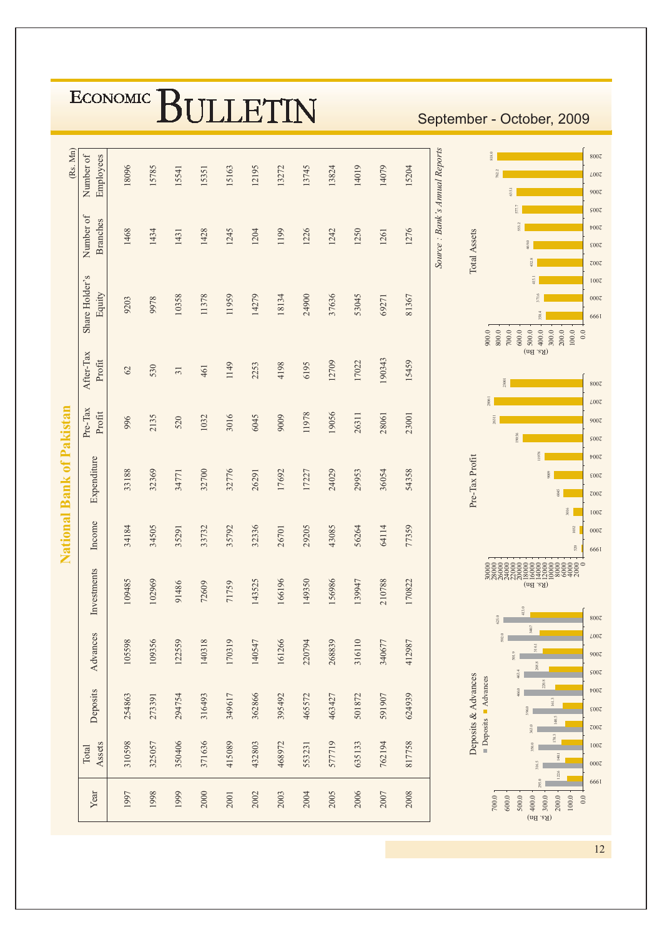|                           | ECONOMIC  <br><b>III LETIN</b><br>September - October, 2009 |        |        |                 |        |        |        |        |        |        |        |             |        |                                                                                                                                                                             |  |
|---------------------------|-------------------------------------------------------------|--------|--------|-----------------|--------|--------|--------|--------|--------|--------|--------|-------------|--------|-----------------------------------------------------------------------------------------------------------------------------------------------------------------------------|--|
| (Rs. Mn)                  | Number of<br>Employees                                      | 18096  | 15785  | 15541           | 15351  | 15163  | 12195  | 13272  | 13745  | 13824  | 14019  | 14079       | 15204  | Source: Bank's Annual Reports<br>818.0<br>8007<br>L00Z<br>9007                                                                                                              |  |
|                           | Number of<br><b>Branches</b>                                | 1468   | 1434   | 1431            | 1428   | 1245   | 1204   | 1199   | 1226   | 1242   | 1250   | 1261        | 1276   | 177.7<br>5007<br>$\text{t}00\text{C}$<br>Total Assets<br>2003<br>432.8<br>$z$ 00 $z$                                                                                        |  |
|                           | Share Holder's<br>Equity                                    | 9203   | 9978   | 10358           | 11378  | 11959  | 14279  | 18134  | 24900  | 37636  | 53045  | 69271       | 81367  | 415.1<br>1007<br>0007<br>\$64<br>6661<br>200.0<br>900.0<br>800.0<br>$700.0$<br>600.0<br>500.0<br>400.0<br>300.0<br>100.0<br>$0.0\,$                                         |  |
|                           | After-Tax<br>Profit                                         | 62     | 530    | $\overline{31}$ | 461    | 1149   | 2253   | 4198   | 6195   | 12709  | 17022  | 190343      | 15459  | (nS.Bn)<br>23001<br>8007                                                                                                                                                    |  |
|                           | Pre-Tax<br>Profit                                           | 996    | 2135   | 520             | 1032   | 3016   | 6045   | 9009   | 11978  | 19056  | 26311  | 28061       | 23001  | <b>1908</b><br>L00Z<br>531<br>9007<br>9056<br>S00Z                                                                                                                          |  |
| National Bank of Pakistan | Expenditure                                                 | 33188  | 32369  | 34771           | 32700  | 32776  | 26291  | 17692  | 17227  | 24029  | 29953  | 36054       | 54358  | 1978<br>$\text{1007}$<br>Pre-Tax Profit<br>$\frac{8}{2}$<br>2003<br>i045<br>$z$ 00 $z$<br>3016                                                                              |  |
|                           | Income                                                      | 34184  | 34505  | 35291           | 33732  | 35792  | 32336  | 26701  | 29205  | 43085  | 56264  | 64114       | 77359  | 1007<br>1032<br>0007<br>520<br>6661                                                                                                                                         |  |
|                           | aents<br>Investm                                            | 109485 | 102969 | 91486           | 72609  | 71759  | 143525 | 166196 | 149350 | 156986 | 139947 | 210788      | 170822 | $(\mathrm{nd\text{ .}aA})$<br>413.0<br>$62\,5.0$<br>8007                                                                                                                    |  |
|                           | Advances                                                    | 105598 | 109356 | 122559          | 140318 | 170319 | 140547 | 161266 | 220794 | 268839 | 316110 | 340677      | 412987 | 340.7<br>592.0<br>L00Z<br>316.1<br>501.9<br>900Z<br>268.8<br>463.4<br>S00Z                                                                                                  |  |
|                           | Deposits                                                    | 254863 | 273391 | 294754          | 316493 | 349617 | 362866 | 395492 | 465572 | 463427 | 501872 | 591907      | 624939 | Deposits & Advances<br>$\blacksquare$ Deposits $\blacksquare$ Advances<br>220.8<br>466.0<br>$\text{t}00\text{C}$<br>161.3<br>\$96.0<br>ε007<br>140.5<br>363.0<br>$z$ 00 $z$ |  |
|                           | Assets<br>Total                                             | 310598 | 325057 | 350406          | 371636 | 415089 | 432803 | 468972 | 553231 | 577719 | 635133 | 762194      | 817758 | 170.3<br>350.0<br>1007<br>140.1<br>316.5<br>0007<br>122.6                                                                                                                   |  |
|                           | Year                                                        | 1997   | 1998   | 1999            | 2000   | 2001   | 2002   | 2003   | 2004   | 2005   | 2006   | <b>2007</b> | 2008   | 295.0<br>6661<br>700.0<br>600.0<br>$(nd.8A)$<br>$(nd.8A)$<br>200.0<br>100.0<br>500.0<br>$0.0\,$                                                                             |  |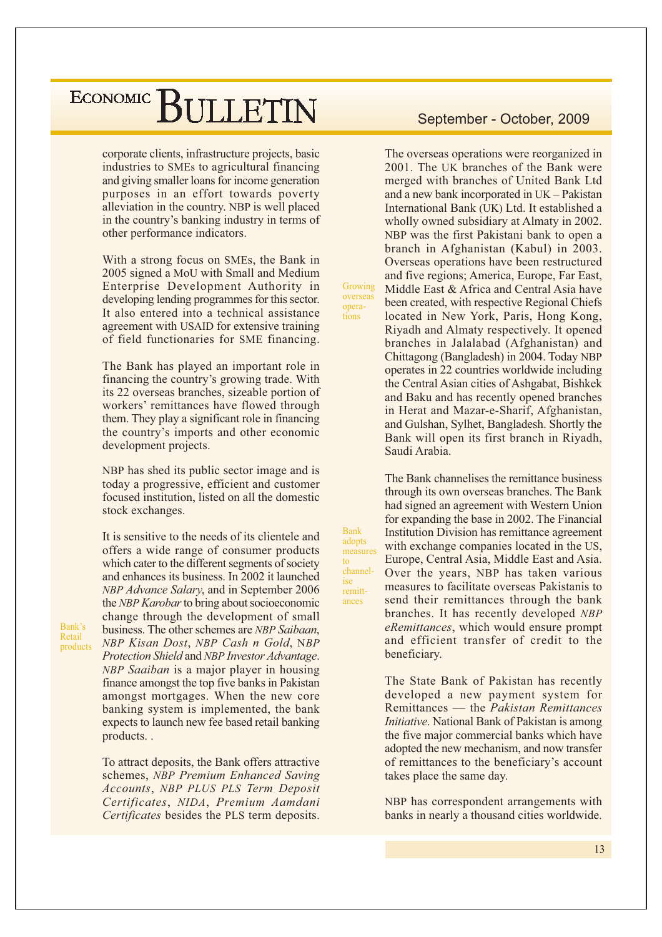corporate clients, infrastructure projects, basic industries to SMEs to agricultural financing and giving smaller loans for income generation purposes in an effort towards poverty alleviation in the country. NBP is well placed in the country's banking industry in terms of other performance indicators.

With a strong focus on SMEs, the Bank in 2005 signed a MoU with Small and Medium Enterprise Development Authority in developing lending programmes for this sector. It also entered into a technical assistance agreement with USAID for extensive training of field functionaries for SME financing.

The Bank has played an important role in financing the country's growing trade. With its 22 overseas branches, sizeable portion of workers' remittances have flowed through them. They play a significant role in financing the country's imports and other economic development projects.

NBP has shed its public sector image and is today a progressive, efficient and customer focused institution, listed on all the domestic stock exchanges.

It is sensitive to the needs of its clientele and offers a wide range of consumer products which cater to the different segments of society and enhances its business. In 2002 it launched NBP Advance Salary, and in September 2006 the NBP Karobar to bring about socioeconomic change through the development of small business. The other schemes are NBP Saibaan. NBP Kisan Dost, NBP Cash n Gold, NBP Protection Shield and NBP Investor Advantage. NBP Saaiban is a major player in housing finance amongst the top five banks in Pakistan amongst mortgages. When the new core banking system is implemented, the bank expects to launch new fee based retail banking products..

To attract deposits, the Bank offers attractive schemes, NBP Premium Enhanced Saving Accounts, NBP PLUS PLS Term Deposit Certificates, NIDA, Premium Aamdani Certificates besides the PLS term deposits.

#### September - October, 2009

The overseas operations were reorganized in 2001. The UK branches of the Bank were merged with branches of United Bank Ltd and a new bank incorporated in UK - Pakistan International Bank (UK) Ltd. It established a wholly owned subsidiary at Almaty in 2002. NBP was the first Pakistani bank to open a branch in Afghanistan (Kabul) in 2003. Overseas operations have been restructured and five regions; America, Europe, Far East, Middle East & Africa and Central Asia have been created, with respective Regional Chiefs located in New York, Paris, Hong Kong, Riyadh and Almaty respectively. It opened branches in Jalalabad (Afghanistan) and Chittagong (Bangladesh) in 2004. Today NBP operates in 22 countries worldwide including the Central Asian cities of Ashgabat, Bishkek and Baku and has recently opened branches in Herat and Mazar-e-Sharif, Afghanistan, and Gulshan, Sylhet, Bangladesh. Shortly the Bank will open its first branch in Rivadh, Saudi Arabia.

Growing

overseas

opera-

tions

**Bank** 

 $f_{\Omega}$ 

ise

adopts

measures

channel-

remitt-

ances

The Bank channelises the remittance business through its own overseas branches. The Bank had signed an agreement with Western Union for expanding the base in 2002. The Financial Institution Division has remittance agreement with exchange companies located in the US, Europe, Central Asia, Middle East and Asia. Over the years, NBP has taken various measures to facilitate overseas Pakistanis to send their remittances through the bank branches. It has recently developed NBP eRemittances, which would ensure prompt and efficient transfer of credit to the beneficiary.

The State Bank of Pakistan has recently developed a new payment system for Remittances — the Pakistan Remittances *Initiative.* National Bank of Pakistan is among the five major commercial banks which have adopted the new mechanism, and now transfer of remittances to the beneficiary's account takes place the same day.

NBP has correspondent arrangements with banks in nearly a thousand cities worldwide.

Bank's Retail products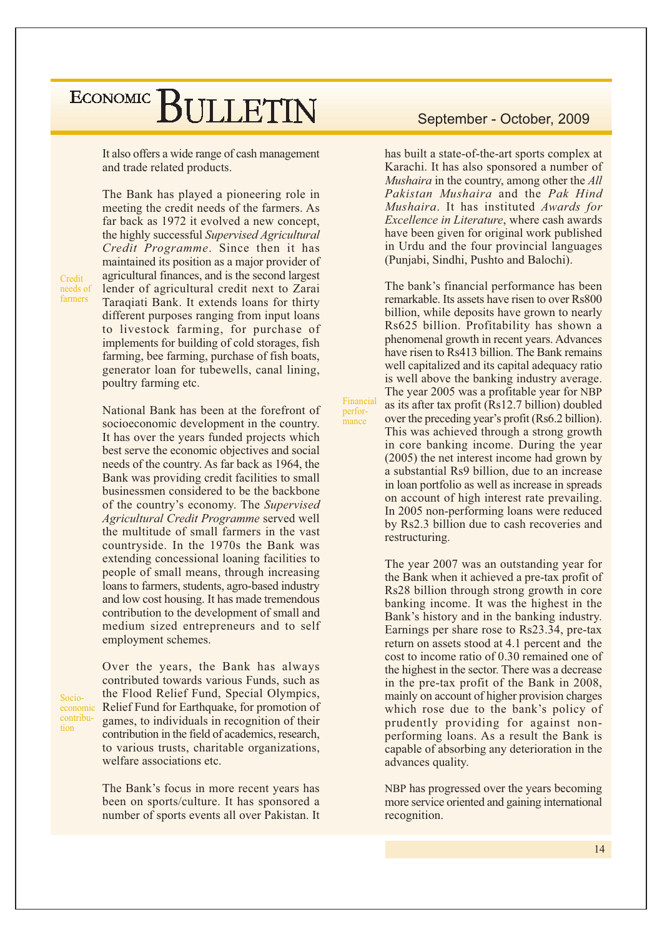It also offers a wide range of cash management and trade related products.

Credit needs of farmers

The Bank has played a pioneering role in meeting the credit needs of the farmers. As far back as 1972 it evolved a new concept, the highly successful Supervised Agricultural Credit Programme. Since then it has maintained its position as a major provider of agricultural finances, and is the second largest lender of agricultural credit next to Zarai Taraqiati Bank. It extends loans for thirty different purposes ranging from input loans to livestock farming, for purchase of implements for building of cold storages, fish farming, bee farming, purchase of fish boats, generator loan for tubewells, canal lining, poultry farming etc.

National Bank has been at the forefront of socioeconomic development in the country. It has over the years funded projects which best serve the economic objectives and social needs of the country. As far back as 1964, the Bank was providing credit facilities to small businessmen considered to be the backbone of the country's economy. The Supervised Agricultural Credit Programme served well the multitude of small farmers in the vast countryside. In the 1970s the Bank was extending concessional loaning facilities to people of small means, through increasing loans to farmers, students, agro-based industry and low cost housing. It has made tremendous contribution to the development of small and medium sized entrepreneurs and to self employment schemes.

Socioeconomic contribution

Over the years, the Bank has always contributed towards various Funds, such as the Flood Relief Fund, Special Olympics, Relief Fund for Earthquake, for promotion of games, to individuals in recognition of their contribution in the field of academics, research, to various trusts, charitable organizations, welfare associations etc.

The Bank's focus in more recent years has been on sports/culture. It has sponsored a number of sports events all over Pakistan. It

#### September - October, 2009

has built a state-of-the-art sports complex at Karachi. It has also sponsored a number of *Mushaira* in the country, among other the All Pakistan Mushaira and the Pak Hind Mushaira. It has instituted Awards for Excellence in Literature, where cash awards have been given for original work published in Urdu and the four provincial languages (Punjabi, Sindhi, Pushto and Balochi).

The bank's financial performance has been remarkable. Its assets have risen to over Rs800 billion, while deposits have grown to nearly Rs625 billion. Profitability has shown a phenomenal growth in recent years. Advances have risen to Rs413 billion. The Bank remains well capitalized and its capital adequacy ratio is well above the banking industry average. The year 2005 was a profitable year for NBP as its after tax profit (Rs12.7 billion) doubled over the preceding year's profit (Rs6.2 billion). This was achieved through a strong growth in core banking income. During the year  $(2005)$  the net interest income had grown by a substantial Rs9 billion, due to an increase in loan portfolio as well as increase in spreads on account of high interest rate prevailing. In 2005 non-performing loans were reduced by Rs2.3 billion due to cash recoveries and restructuring.

Financial

perfor-

mance

The year 2007 was an outstanding year for the Bank when it achieved a pre-tax profit of Rs28 billion through strong growth in core banking income. It was the highest in the Bank's history and in the banking industry. Earnings per share rose to Rs23.34, pre-tax return on assets stood at 4.1 percent and the cost to income ratio of 0.30 remained one of the highest in the sector. There was a decrease in the pre-tax profit of the Bank in 2008, mainly on account of higher provision charges which rose due to the bank's policy of prudently providing for against nonperforming loans. As a result the Bank is capable of absorbing any deterioration in the advances quality.

NBP has progressed over the years becoming more service oriented and gaining international recognition.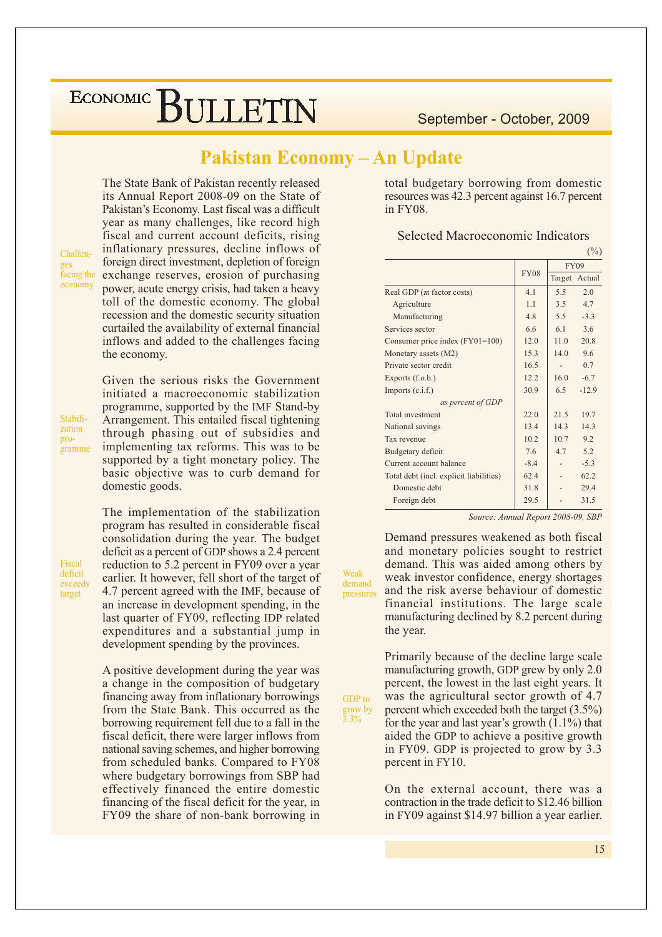September - October, 2009

#### **Pakistan Economy - An Update**

Weak

demand

GDP to

grow by

 $\frac{2}{3.3\%}$ 

pressures

The State Bank of Pakistan recently released its Annual Report 2008-09 on the State of Pakistan's Economy. Last fiscal was a difficult year as many challenges, like record high fiscal and current account deficits, rising inflationary pressures, decline inflows of foreign direct investment, depletion of foreign exchange reserves, erosion of purchasing power, acute energy crisis, had taken a heavy toll of the domestic economy. The global recession and the domestic security situation curtailed the availability of external financial inflows and added to the challenges facing the economy.

Stabilization programme

Challen-

facing the

economy

initiated a macroeconomic stabilization programme, supported by the IMF Stand-by Arrangement. This entailed fiscal tightening through phasing out of subsidies and implementing tax reforms. This was to be supported by a tight monetary policy. The basic objective was to curb demand for domestic goods.

Given the serious risks the Government

Fiscal deficit exceeds target

The implementation of the stabilization program has resulted in considerable fiscal consolidation during the year. The budget deficit as a percent of GDP shows a 2.4 percent reduction to 5.2 percent in FY09 over a year earlier. It however, fell short of the target of 4.7 percent agreed with the IMF, because of an increase in development spending, in the last quarter of FY09, reflecting IDP related expenditures and a substantial jump in development spending by the provinces.

A positive development during the year was a change in the composition of budgetary financing away from inflationary borrowings from the State Bank. This occurred as the borrowing requirement fell due to a fall in the fiscal deficit, there were larger inflows from national saving schemes, and higher borrowing from scheduled banks. Compared to FY08 where budgetary borrowings from SBP had effectively financed the entire domestic financing of the fiscal deficit for the year, in FY09 the share of non-bank borrowing in

total budgetary borrowing from domestic resources was 42.3 percent against 16.7 percent in FY08.

| Selected Macroeconomic Indicators |  |
|-----------------------------------|--|
|                                   |  |

|                                         |             |         | (9/0)         |
|-----------------------------------------|-------------|---------|---------------|
|                                         |             |         | <b>FY09</b>   |
|                                         | <b>FY08</b> |         | Target Actual |
| Real GDP (at factor costs)              | 4.1         | 5.5     | 2.0           |
| Agriculture                             | 1.1         | $3.5 -$ | 4.7           |
| Manufacturing                           | 48          | $5.5 -$ | $-3.3$        |
| Services sector                         | 66          | 6.1     | 3.6           |
| Consumer price index (FY01=100)         | 12.0        | 11.0    | 20.8          |
| Monetary assets (M2)                    | 15.3        | 14.0    | 9.6           |
| Private sector credit                   | 16.5        |         | 0.7           |
| Exports $(f.o.b.)$                      | 12.2        | 16.0    | $-6.7$        |
| Imports $(c.i.f.)$                      | 30.9        | 6.5     | $-12.9$       |
| as percent of GDP                       |             |         |               |
| Total investment                        | 22.0        | 21.5    | 19.7          |
| National savings                        | 13.4        | 14.3    | 14.3          |
| Tax revenue                             | 102         | 10.7    | 9.2           |
| Budgetary deficit                       | 7.6         | 4.7     | 5.2           |
| Current account balance                 | $-8.4$      |         | $-5.3$        |
| Total debt (incl. explicit liabilities) | 62.4        |         | 62.2          |
| Domestic debt                           | 31.8        |         | 29.4          |
| Foreign debt                            | 29.5        |         | 31.5          |

Source: Annual Report 2008-09, SBP

Demand pressures weakened as both fiscal and monetary policies sought to restrict demand. This was aided among others by weak investor confidence, energy shortages and the risk averse behaviour of domestic financial institutions. The large scale manufacturing declined by 8.2 percent during the year.

Primarily because of the decline large scale manufacturing growth, GDP grew by only 2.0 percent, the lowest in the last eight years. It was the agricultural sector growth of 4.7 percent which exceeded both the target  $(3.5\%)$ for the year and last year's growth  $(1.1\%)$  that aided the GDP to achieve a positive growth in FY09. GDP is projected to grow by 3.3 percent in FY10.

On the external account, there was a contraction in the trade deficit to \$12.46 billion in FY09 against \$14.97 billion a year earlier.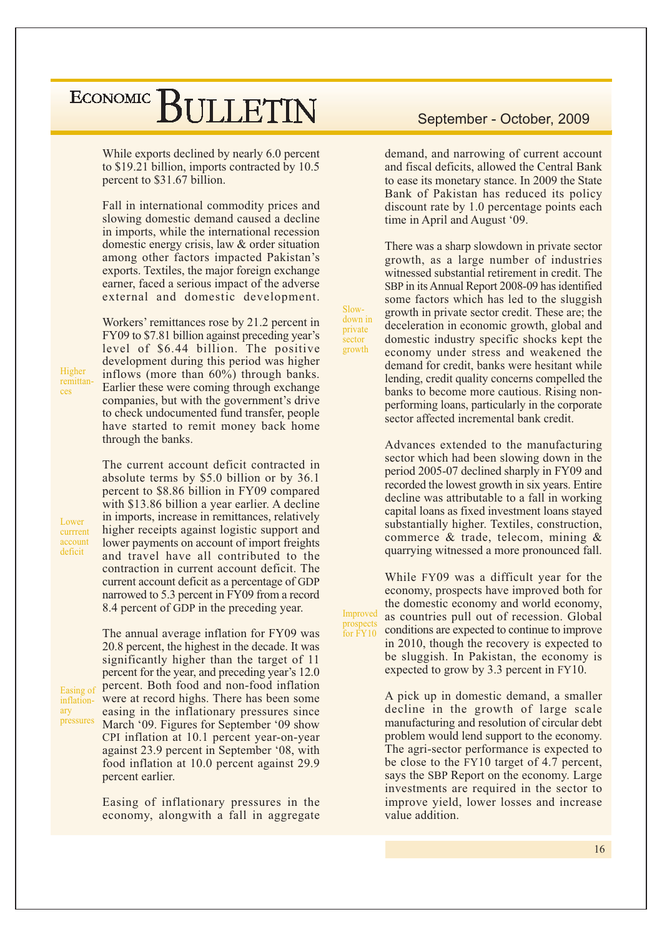While exports declined by nearly 6.0 percent to \$19.21 billion, imports contracted by 10.5 percent to \$31.67 billion.

Fall in international commodity prices and slowing domestic demand caused a decline in imports, while the international recession domestic energy crisis, law & order situation among other factors impacted Pakistan's exports. Textiles, the major foreign exchange earner, faced a serious impact of the adverse external and domestic development.

Workers' remittances rose by 21.2 percent in FY09 to \$7.81 billion against preceding year's level of \$6.44 billion. The positive development during this period was higher inflows (more than  $60\%$ ) through banks. Earlier these were coming through exchange companies, but with the government's drive to check undocumented fund transfer, people have started to remit money back home through the banks.

The current account deficit contracted in absolute terms by \$5.0 billion or by 36.1 percent to \$8.86 billion in FY09 compared with \$13.86 billion a year earlier. A decline in imports, increase in remittances, relatively higher receipts against logistic support and lower payments on account of import freights and travel have all contributed to the contraction in current account deficit. The current account deficit as a percentage of GDP narrowed to 5.3 percent in FY09 from a record 8.4 percent of GDP in the preceding year.

The annual average inflation for FY09 was 20.8 percent, the highest in the decade. It was significantly higher than the target of 11 percent for the year, and preceding year's 12.0 percent. Both food and non-food inflation Easing of were at record highs. There has been some inflationeasing in the inflationary pressures since pressures March '09. Figures for September '09 show CPI inflation at 10.1 percent year-on-year against 23.9 percent in September '08, with food inflation at 10.0 percent against 29.9 percent earlier.

> Easing of inflationary pressures in the economy, alongwith a fall in aggregate

#### September - October, 2009

demand, and narrowing of current account and fiscal deficits, allowed the Central Bank to ease its monetary stance. In 2009 the State Bank of Pakistan has reduced its policy discount rate by 1.0 percentage points each time in April and August '09.

There was a sharp slowdown in private sector growth, as a large number of industries witnessed substantial retirement in credit. The SBP in its Annual Report 2008-09 has identified some factors which has led to the sluggish growth in private sector credit. These are; the deceleration in economic growth, global and domestic industry specific shocks kept the economy under stress and weakened the demand for credit, banks were hesitant while lending, credit quality concerns compelled the banks to become more cautious. Rising nonperforming loans, particularly in the corporate sector affected incremental bank credit.

Slow-

down in

private

growth

Improved

prospects<br>for FY10

sector

Advances extended to the manufacturing sector which had been slowing down in the period 2005-07 declined sharply in FY09 and recorded the lowest growth in six years. Entire decline was attributable to a fall in working capital loans as fixed investment loans stayed substantially higher. Textiles, construction, commerce & trade, telecom, mining & quarrying witnessed a more pronounced fall.

While FY09 was a difficult year for the economy, prospects have improved both for the domestic economy and world economy, as countries pull out of recession. Global conditions are expected to continue to improve in 2010, though the recovery is expected to be sluggish. In Pakistan, the economy is expected to grow by 3.3 percent in FY10.

A pick up in domestic demand, a smaller decline in the growth of large scale manufacturing and resolution of circular debt problem would lend support to the economy. The agri-sector performance is expected to be close to the FY10 target of 4.7 percent, says the SBP Report on the economy. Large investments are required in the sector to improve yield, lower losses and increase value addition.

Higher remittances

arv

Lower

currrent

account

deficit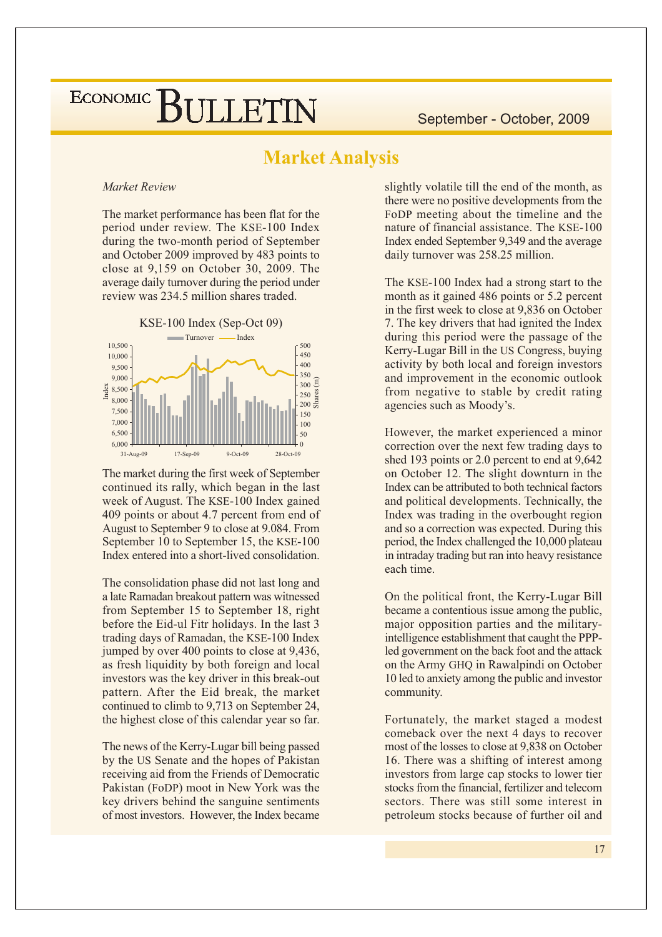#### **Market Analysis**

#### Market Review

The market performance has been flat for the period under review. The KSE-100 Index during the two-month period of September and October 2009 improved by 483 points to close at  $9,159$  on October 30, 2009. The average daily turnover during the period under review was 234.5 million shares traded.



The market during the first week of September continued its rally, which began in the last week of August. The KSE-100 Index gained 409 points or about 4.7 percent from end of August to September 9 to close at 9.084. From September 10 to September 15, the KSE-100 Index entered into a short-lived consolidation.

The consolidation phase did not last long and a late Ramadan breakout pattern was witnessed from September 15 to September 18, right before the Eid-ul Fitr holidays. In the last 3 trading days of Ramadan, the KSE-100 Index jumped by over 400 points to close at 9,436, as fresh liquidity by both foreign and local investors was the key driver in this break-out pattern. After the Eid break, the market continued to climb to 9,713 on September 24, the highest close of this calendar year so far.

The news of the Kerry-Lugar bill being passed by the US Senate and the hopes of Pakistan receiving aid from the Friends of Democratic Pakistan (FoDP) moot in New York was the key drivers behind the sanguine sentiments of most investors. However, the Index became

slightly volatile till the end of the month, as there were no positive developments from the FoDP meeting about the timeline and the nature of financial assistance. The KSE-100 Index ended September 9,349 and the average daily turnover was 258.25 million.

The KSE-100 Index had a strong start to the month as it gained 486 points or 5.2 percent in the first week to close at 9,836 on October 7. The key drivers that had ignited the Index during this period were the passage of the Kerry-Lugar Bill in the US Congress, buying activity by both local and foreign investors and improvement in the economic outlook from negative to stable by credit rating agencies such as Moody's.

However, the market experienced a minor correction over the next few trading days to shed 193 points or 2.0 percent to end at 9,642 on October 12. The slight downturn in the Index can be attributed to both technical factors and political developments. Technically, the Index was trading in the overbought region and so a correction was expected. During this period, the Index challenged the 10,000 plateau in intraday trading but ran into heavy resistance each time

On the political front, the Kerry-Lugar Bill became a contentious issue among the public, major opposition parties and the militaryintelligence establishment that caught the PPPled government on the back foot and the attack on the Army GHQ in Rawalpindi on October 10 led to anxiety among the public and investor community.

Fortunately, the market staged a modest comeback over the next 4 days to recover most of the losses to close at 9,838 on October 16. There was a shifting of interest among investors from large cap stocks to lower tier stocks from the financial, fertilizer and telecom sectors. There was still some interest in petroleum stocks because of further oil and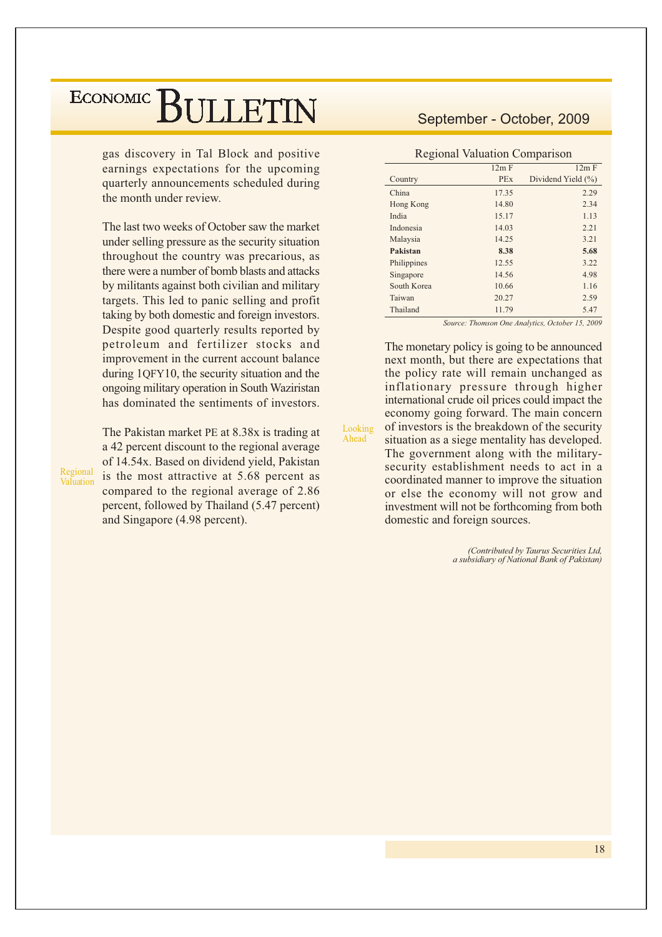gas discovery in Tal Block and positive earnings expectations for the upcoming quarterly announcements scheduled during the month under review

The last two weeks of October saw the market under selling pressure as the security situation throughout the country was precarious, as there were a number of bomb blasts and attacks by militants against both civilian and military targets. This led to panic selling and profit taking by both domestic and foreign investors. Despite good quarterly results reported by petroleum and fertilizer stocks and improvement in the current account balance during 1QFY10, the security situation and the ongoing military operation in South Waziristan has dominated the sentiments of investors.

Regional Valuation The Pakistan market PE at 8.38x is trading at a 42 percent discount to the regional average of 14.54x. Based on dividend yield, Pakistan is the most attractive at 5.68 percent as compared to the regional average of 2.86 percent, followed by Thailand (5.47 percent) and Singapore (4.98 percent).

#### September - October, 2009

**Regional Valuation Comparison** 

|             | 12m F      | 12m F              |
|-------------|------------|--------------------|
| Country     | <b>PEx</b> | Dividend Yield (%) |
| China       | 17.35      | 2.29               |
| Hong Kong   | 14.80      | 2.34               |
| India       | 15.17      | 1.13               |
| Indonesia   | 14.03      | 2.21               |
| Malaysia    | 14.25      | 3.21               |
| Pakistan    | 8.38       | 5.68               |
| Philippines | 12.55      | 3.22               |
| Singapore   | 14.56      | 4.98               |
| South Korea | 10.66      | 1.16               |
| Taiwan      | 20.27      | 2.59               |
| Thailand    | 11.79      | 5.47               |

Source: Thomson One Analytics, October 15, 2009

The monetary policy is going to be announced next month, but there are expectations that the policy rate will remain unchanged as inflationary pressure through higher international crude oil prices could impact the economy going forward. The main concern of investors is the breakdown of the security situation as a siege mentality has developed. The government along with the militarysecurity establishment needs to act in a coordinated manner to improve the situation or else the economy will not grow and investment will not be forthcoming from both domestic and foreign sources.

Looking

Ahead

(Contributed by Taurus Securities Ltd.) a subsidiary of National Bank of Pakistan)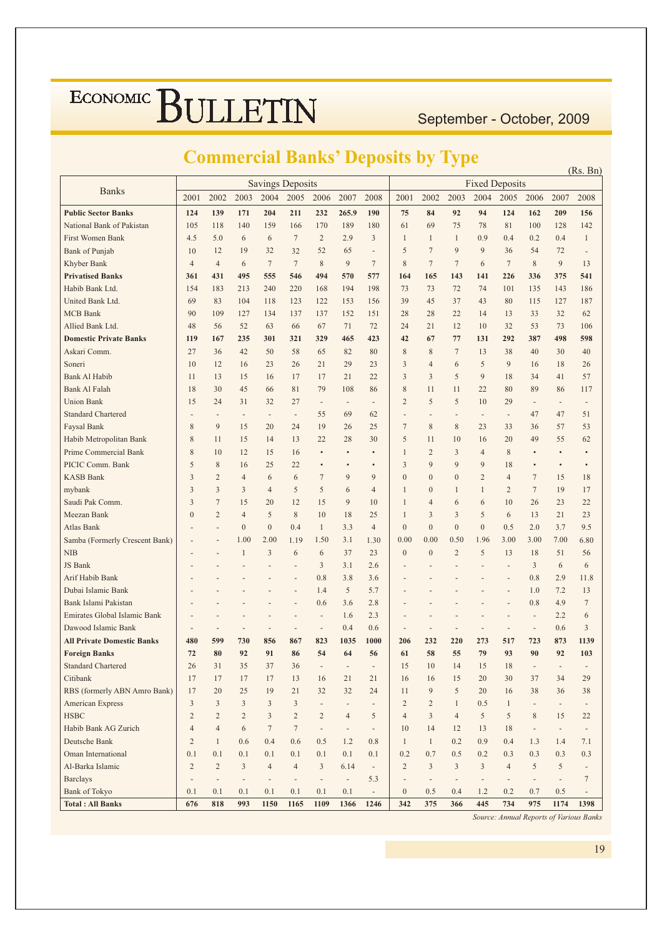September - October, 2009

#### **Commercial Banks' Deposits by Type**

| <b>Savings Deposits</b><br><b>Fixed Deposits</b><br><b>Banks</b><br>2002<br>2003<br>2008<br>2001<br>2003<br>2004<br>2005<br>2007<br>2008<br>2001<br>2004<br>2005<br>2006<br>2007<br>2002<br>2006<br><b>Public Sector Banks</b><br>162<br>124<br>139<br>171<br>204<br>211<br>232<br>265.9<br>190<br>75<br>84<br>92<br>94<br>124<br>209<br>156<br>National Bank of Pakistan<br>105<br>118<br>140<br>170<br>189<br>180<br>61<br>69<br>75<br>78<br>100<br>142<br>159<br>166<br>81<br>128<br><b>First Women Bank</b><br>4.5<br>7<br>$\overline{2}$<br>2.9<br>3<br>0.9<br>0.4<br>0.2<br>5.0<br>6<br>6<br>$\mathbf{1}$<br>$\mathbf{1}$<br>$\mathbf{1}$<br>0.4<br>$\mathbf{1}$<br>52<br>5<br>7<br>9<br>9<br><b>Bank of Punjab</b><br>10<br>12<br>19<br>32<br>32<br>65<br>36<br>72<br>54<br>÷,<br>$\qquad \qquad \blacksquare$<br>$\overline{7}$<br>9<br>$\tau$<br>$\tau$<br>9<br>Khyber Bank<br>$\overline{4}$<br>$\overline{4}$<br>7<br>8<br>8<br>7<br>6<br>$\tau$<br>8<br>13<br>6<br><b>Privatised Banks</b><br>361<br>431<br>495<br>555<br>546<br>494<br>570<br>577<br>143<br>141<br>226<br>375<br>541<br>164<br>165<br>336<br>Habib Bank Ltd.<br>154<br>183<br>240<br>220<br>194<br>198<br>73<br>73<br>72<br>74<br>101<br>135<br>143<br>186<br>213<br>168<br>39<br>187<br>United Bank Ltd.<br>69<br>83<br>104<br>123<br>122<br>37<br>43<br>80<br>118<br>153<br>156<br>45<br>115<br>127<br><b>MCB</b> Bank<br>90<br>109<br>127<br>134<br>137<br>152<br>151<br>28<br>22<br>14<br>13<br>33<br>32<br>62<br>137<br>28<br>Allied Bank Ltd.<br>48<br>52<br>67<br>32<br>73<br>106<br>56<br>63<br>66<br>71<br>72<br>24<br>21<br>12<br>10<br>53<br><b>Domestic Private Banks</b><br>119<br>235<br>301<br>321<br>329<br>465<br>423<br>42<br>77<br>131<br>292<br>387<br>498<br>598<br>167<br>67<br>Askari Comm.<br>27<br>58<br>82<br>8<br>$\overline{7}$<br>38<br>36<br>42<br>50<br>65<br>80<br>8<br>13<br>40<br>30<br>40<br>3<br>9<br>10<br>12<br>16<br>23<br>26<br>21<br>29<br>23<br>6<br>5<br>18<br>26<br>Soneri<br>$\overline{4}$<br>16<br>3<br>5<br><b>Bank Al Habib</b><br>13<br>15<br>21<br>9<br>18<br>57<br>11<br>16<br>17<br>17<br>22<br>3<br>34<br>41<br>Bank Al Falah<br>18<br>30<br>45<br>81<br>79<br>8<br>22<br>80<br>89<br>108<br>86<br>11<br>11<br>86<br>117<br>66<br><b>Union Bank</b><br>15<br>24<br>31<br>27<br>$\overline{2}$<br>5<br>5<br>10<br>29<br>32<br>$\overline{\phantom{a}}$<br>$\overline{\phantom{a}}$<br>$\overline{a}$<br>$\overline{\phantom{a}}$<br>$\overline{a}$<br>$\qquad \qquad -$<br><b>Standard Chartered</b><br>47<br>51<br>55<br>69<br>62<br>47<br>$\overline{\phantom{a}}$<br>$\overline{\phantom{a}}$<br>$\overline{\phantom{a}}$<br>$\overline{\phantom{a}}$<br>$\overline{a}$<br>$\overline{\phantom{a}}$<br>$\overline{a}$<br>$\overline{\phantom{m}}$<br>$\overline{\phantom{a}}$<br>Faysal Bank<br>8<br>9<br>19<br>$\overline{7}$<br>8<br>8<br>53<br>15<br>20<br>24<br>26<br>25<br>23<br>33<br>36<br>57<br>8<br>5<br>Habib Metropolitan Bank<br>22<br>15<br>13<br>28<br>30<br>10<br>16<br>20<br>49<br>55<br>62<br>11<br>14<br>11<br>Prime Commercial Bank<br>8<br>12<br>$\overline{c}$<br>3<br>8<br>10<br>15<br>16<br>$\mathbf{1}$<br>$\overline{4}$<br>$\bullet$<br>$\bullet$<br>٠<br>3<br>9<br>9<br>9<br>PICIC Comm. Bank<br>5<br>8<br>25<br>22<br>18<br>16<br>٠<br>$\bullet$<br>٠<br><b>KASB Bank</b><br>3<br>$\overline{2}$<br>$\overline{4}$<br>6<br>7<br>9<br>9<br>$\boldsymbol{0}$<br>$\mathbf{0}$<br>$\mathbf{0}$<br>$\overline{2}$<br>$\overline{4}$<br>7<br>15<br>18<br>6<br>3<br>5<br>$\tau$<br>17<br>3<br>3<br>5<br>6<br>$\mathbf{1}$<br>$\overline{2}$<br>19<br>mybank<br>4<br>$\overline{4}$<br>$\mathbf{0}$<br>1<br>1<br>$\tau$<br>Saudi Pak Comm.<br>3<br>15<br>20<br>12<br>15<br>9<br>10<br>$\mathbf{1}$<br>10<br>26<br>23<br>22<br>$\overline{4}$<br>6<br>6<br>$\overline{2}$<br>$\,$ 8 $\,$<br>Meezan Bank<br>$\overline{0}$<br>5<br>10<br>3<br>3<br>5<br>6<br>21<br>23<br>$\overline{4}$<br>18<br>25<br>$\mathbf{1}$<br>13<br>$\boldsymbol{0}$<br>Atlas Bank<br>$\boldsymbol{0}$<br>0.4<br>$\mathbf{1}$<br>3.3<br>$\overline{4}$<br>$\mathbf{0}$<br>$\overline{0}$<br>$\mathbf{0}$<br>0.5<br>2.0<br>3.7<br>9.5<br>$\mathbf{0}$<br>$\overline{\phantom{a}}$<br>Samba (Formerly Crescent Bank)<br>1.00<br>2.00<br>0.00<br>0.00<br>6.80<br>1.19<br>1.50<br>3.1<br>1.30<br>0.50<br>1.96<br>3.00<br>3.00<br>7.00<br>$\overline{a}$<br><b>NIB</b><br>3<br>37<br>23<br>$\mathbf{0}$<br>$\boldsymbol{0}$<br>$\overline{2}$<br>5<br>13<br>51<br>56<br>$\mathbf{1}$<br>6<br>6<br>18<br>3<br>6<br>JS Bank<br>3.1<br>2.6<br>3<br>6<br>$\overline{a}$<br>Arif Habib Bank<br>0.8<br>3.8<br>3.6<br>0.8<br>2.9<br>11.8<br>Dubai Islamic Bank<br>1.4<br>5<br>7.2<br>13<br>5.7<br>1.0<br>L,<br>$\tau$<br>Bank Islami Pakistan<br>0.6<br>3.6<br>0.8<br>4.9<br>2.8<br>$\overline{a}$<br>Emirates Global Islamic Bank<br>2.3<br>2.2<br>6<br>1.6<br>$\overline{a}$<br>$\overline{\phantom{a}}$<br>$\overline{a}$<br>3<br>Dawood Islamic Bank<br>0.4<br>0.6<br>0.6<br>$\blacksquare$<br>÷,<br>$\overline{a}$<br>$\qquad \qquad \blacksquare$<br>÷,<br>$\overline{\phantom{a}}$<br>$\frac{1}{2}$<br>$\overline{\phantom{a}}$<br>$\overline{\phantom{a}}$<br>$\overline{a}$<br>$\overline{a}$<br>$\overline{a}$<br><b>All Private Domestic Banks</b><br>480<br>599<br>730<br>1035<br>1000<br>1139<br>856<br>867<br>823<br>206<br>232<br>220<br>273<br>517<br>723<br>873<br><b>Foreign Banks</b><br>72<br>80<br>92<br>91<br>54<br>58<br>55<br>79<br>93<br>90<br>92<br>103<br>86<br>64<br>56<br>61<br><b>Standard Chartered</b><br>26<br>31<br>35<br>37<br>36<br>15<br>10<br>14<br>15<br>18<br>$\overline{\phantom{a}}$<br>$\overline{\phantom{a}}$<br>$\overline{a}$<br>$\overline{\phantom{a}}$<br>Citibank<br>17<br>17<br>17<br>21<br>30<br>29<br>17<br>13<br>16<br>21<br>16<br>16<br>15<br>20<br>37<br>34<br>9<br>5<br>RBS (formerly ABN Amro Bank)<br>17<br>20<br>25<br>19<br>21<br>32<br>32<br>24<br>11<br>20<br>16<br>38<br>36<br>38<br>$\overline{3}$<br>American Express<br>$\overline{3}$<br>$\mathfrak{Z}$<br>3<br>$\mathfrak{Z}$<br>$\overline{2}$<br>$\overline{c}$<br>$\mathbf{1}$<br>0.5<br>$\mathbf{1}$<br>$\overline{\phantom{a}}$<br>$\overline{\phantom{a}}$<br>$\overline{\phantom{a}}$<br>$\overline{\phantom{a}}$<br>$\overline{\phantom{a}}$<br><b>HSBC</b><br>$\overline{3}$<br>$\overline{4}$<br>$\overline{c}$<br>$\overline{2}$<br>$\overline{2}$<br>$\overline{3}$<br>$\overline{c}$<br>$\overline{2}$<br>$\overline{4}$<br>5<br>$\overline{4}$<br>5<br>5<br>8<br>15<br>22<br>Habib Bank AG Zurich<br>$\overline{4}$<br>$\overline{4}$<br>6<br>$7\phantom{.0}$<br>$\tau$<br>14<br>10<br>12<br>13<br>18<br>$\overline{\phantom{a}}$<br>$\equiv$<br>$\overline{\phantom{a}}$<br>$\overline{\phantom{a}}$<br>$\overline{\phantom{a}}$<br>$\overline{\phantom{a}}$<br>Deutsche Bank<br>$\overline{c}$<br>0.6<br>0.4<br>0.6<br>$\mathbf{1}$<br>0.2<br>0.9<br>0.4<br>$\mathbf{1}$<br>0.5<br>1.2<br>0.8<br>$\mathbf{1}$<br>1.3<br>1.4<br>7.1 | ᢦ |  |  |  |  |  |  |  |  |  |  | $\mathbf{v}$ if<br>(Rs. Bn) |  |  |  |  |  |  |  |
|----------------------------------------------------------------------------------------------------------------------------------------------------------------------------------------------------------------------------------------------------------------------------------------------------------------------------------------------------------------------------------------------------------------------------------------------------------------------------------------------------------------------------------------------------------------------------------------------------------------------------------------------------------------------------------------------------------------------------------------------------------------------------------------------------------------------------------------------------------------------------------------------------------------------------------------------------------------------------------------------------------------------------------------------------------------------------------------------------------------------------------------------------------------------------------------------------------------------------------------------------------------------------------------------------------------------------------------------------------------------------------------------------------------------------------------------------------------------------------------------------------------------------------------------------------------------------------------------------------------------------------------------------------------------------------------------------------------------------------------------------------------------------------------------------------------------------------------------------------------------------------------------------------------------------------------------------------------------------------------------------------------------------------------------------------------------------------------------------------------------------------------------------------------------------------------------------------------------------------------------------------------------------------------------------------------------------------------------------------------------------------------------------------------------------------------------------------------------------------------------------------------------------------------------------------------------------------------------------------------------------------------------------------------------------------------------------------------------------------------------------------------------------------------------------------------------------------------------------------------------------------------------------------------------------------------------------------------------------------------------------------------------------------------------------------------------------------------------------------------------------------------------------------------------------------------------------------------------------------------------------------------------------------------------------------------------------------------------------------------------------------------------------------------------------------------------------------------------------------------------------------------------------------------------------------------------------------------------------------------------------------------------------------------------------------------------------------------------------------------------------------------------------------------------------------------------------------------------------------------------------------------------------------------------------------------------------------------------------------------------------------------------------------------------------------------------------------------------------------------------------------------------------------------------------------------------------------------------------------------------------------------------------------------------------------------------------------------------------------------------------------------------------------------------------------------------------------------------------------------------------------------------------------------------------------------------------------------------------------------------------------------------------------------------------------------------------------------------------------------------------------------------------------------------------------------------------------------------------------------------------------------------------------------------------------------------------------------------------------------------------------------------------------------------------------------------------------------------------------------------------------------------------------------------------------------------------------------------------------------------------------------------------------------------------------------------------------------------------------------------------------------------------------------------------------------------------------------------------------------------------------------------------------------------------------------------------------------------------------------------------------------------------------------------------------------------------------------------------------------------------------------------------------------------------------------------------------------------------------------------------------------------------------------------------------------------------------------------------------------------------------------------------------------------------------------------------------------------------------------------------------------------------------------------------------------------------------------------------------------------------------------------------------------------------------------------------------------------------------------------------------------------------------------------------------------------------------------------------------------------------------------------------------------------------------------------------------------------------------------------------------------------------------------------------------------------------------------------------------------------------------------------------------------------------------------------------------------------------------------------------------------------------------------------------------------------------------------------------------------------|---|--|--|--|--|--|--|--|--|--|--|-----------------------------|--|--|--|--|--|--|--|
|                                                                                                                                                                                                                                                                                                                                                                                                                                                                                                                                                                                                                                                                                                                                                                                                                                                                                                                                                                                                                                                                                                                                                                                                                                                                                                                                                                                                                                                                                                                                                                                                                                                                                                                                                                                                                                                                                                                                                                                                                                                                                                                                                                                                                                                                                                                                                                                                                                                                                                                                                                                                                                                                                                                                                                                                                                                                                                                                                                                                                                                                                                                                                                                                                                                                                                                                                                                                                                                                                                                                                                                                                                                                                                                                                                                                                                                                                                                                                                                                                                                                                                                                                                                                                                                                                                                                                                                                                                                                                                                                                                                                                                                                                                                                                                                                                                                                                                                                                                                                                                                                                                                                                                                                                                                                                                                                                                                                                                                                                                                                                                                                                                                                                                                                                                                                                                                                                                                                                                                                                                                                                                                                                                                                                                                                                                                                                                                                                                                                                                                                                                                                                                                                                                                                                                                                                                                                                                                                                                                              |   |  |  |  |  |  |  |  |  |  |  |                             |  |  |  |  |  |  |  |
|                                                                                                                                                                                                                                                                                                                                                                                                                                                                                                                                                                                                                                                                                                                                                                                                                                                                                                                                                                                                                                                                                                                                                                                                                                                                                                                                                                                                                                                                                                                                                                                                                                                                                                                                                                                                                                                                                                                                                                                                                                                                                                                                                                                                                                                                                                                                                                                                                                                                                                                                                                                                                                                                                                                                                                                                                                                                                                                                                                                                                                                                                                                                                                                                                                                                                                                                                                                                                                                                                                                                                                                                                                                                                                                                                                                                                                                                                                                                                                                                                                                                                                                                                                                                                                                                                                                                                                                                                                                                                                                                                                                                                                                                                                                                                                                                                                                                                                                                                                                                                                                                                                                                                                                                                                                                                                                                                                                                                                                                                                                                                                                                                                                                                                                                                                                                                                                                                                                                                                                                                                                                                                                                                                                                                                                                                                                                                                                                                                                                                                                                                                                                                                                                                                                                                                                                                                                                                                                                                                                              |   |  |  |  |  |  |  |  |  |  |  |                             |  |  |  |  |  |  |  |
|                                                                                                                                                                                                                                                                                                                                                                                                                                                                                                                                                                                                                                                                                                                                                                                                                                                                                                                                                                                                                                                                                                                                                                                                                                                                                                                                                                                                                                                                                                                                                                                                                                                                                                                                                                                                                                                                                                                                                                                                                                                                                                                                                                                                                                                                                                                                                                                                                                                                                                                                                                                                                                                                                                                                                                                                                                                                                                                                                                                                                                                                                                                                                                                                                                                                                                                                                                                                                                                                                                                                                                                                                                                                                                                                                                                                                                                                                                                                                                                                                                                                                                                                                                                                                                                                                                                                                                                                                                                                                                                                                                                                                                                                                                                                                                                                                                                                                                                                                                                                                                                                                                                                                                                                                                                                                                                                                                                                                                                                                                                                                                                                                                                                                                                                                                                                                                                                                                                                                                                                                                                                                                                                                                                                                                                                                                                                                                                                                                                                                                                                                                                                                                                                                                                                                                                                                                                                                                                                                                                              |   |  |  |  |  |  |  |  |  |  |  |                             |  |  |  |  |  |  |  |
|                                                                                                                                                                                                                                                                                                                                                                                                                                                                                                                                                                                                                                                                                                                                                                                                                                                                                                                                                                                                                                                                                                                                                                                                                                                                                                                                                                                                                                                                                                                                                                                                                                                                                                                                                                                                                                                                                                                                                                                                                                                                                                                                                                                                                                                                                                                                                                                                                                                                                                                                                                                                                                                                                                                                                                                                                                                                                                                                                                                                                                                                                                                                                                                                                                                                                                                                                                                                                                                                                                                                                                                                                                                                                                                                                                                                                                                                                                                                                                                                                                                                                                                                                                                                                                                                                                                                                                                                                                                                                                                                                                                                                                                                                                                                                                                                                                                                                                                                                                                                                                                                                                                                                                                                                                                                                                                                                                                                                                                                                                                                                                                                                                                                                                                                                                                                                                                                                                                                                                                                                                                                                                                                                                                                                                                                                                                                                                                                                                                                                                                                                                                                                                                                                                                                                                                                                                                                                                                                                                                              |   |  |  |  |  |  |  |  |  |  |  |                             |  |  |  |  |  |  |  |
|                                                                                                                                                                                                                                                                                                                                                                                                                                                                                                                                                                                                                                                                                                                                                                                                                                                                                                                                                                                                                                                                                                                                                                                                                                                                                                                                                                                                                                                                                                                                                                                                                                                                                                                                                                                                                                                                                                                                                                                                                                                                                                                                                                                                                                                                                                                                                                                                                                                                                                                                                                                                                                                                                                                                                                                                                                                                                                                                                                                                                                                                                                                                                                                                                                                                                                                                                                                                                                                                                                                                                                                                                                                                                                                                                                                                                                                                                                                                                                                                                                                                                                                                                                                                                                                                                                                                                                                                                                                                                                                                                                                                                                                                                                                                                                                                                                                                                                                                                                                                                                                                                                                                                                                                                                                                                                                                                                                                                                                                                                                                                                                                                                                                                                                                                                                                                                                                                                                                                                                                                                                                                                                                                                                                                                                                                                                                                                                                                                                                                                                                                                                                                                                                                                                                                                                                                                                                                                                                                                                              |   |  |  |  |  |  |  |  |  |  |  |                             |  |  |  |  |  |  |  |
|                                                                                                                                                                                                                                                                                                                                                                                                                                                                                                                                                                                                                                                                                                                                                                                                                                                                                                                                                                                                                                                                                                                                                                                                                                                                                                                                                                                                                                                                                                                                                                                                                                                                                                                                                                                                                                                                                                                                                                                                                                                                                                                                                                                                                                                                                                                                                                                                                                                                                                                                                                                                                                                                                                                                                                                                                                                                                                                                                                                                                                                                                                                                                                                                                                                                                                                                                                                                                                                                                                                                                                                                                                                                                                                                                                                                                                                                                                                                                                                                                                                                                                                                                                                                                                                                                                                                                                                                                                                                                                                                                                                                                                                                                                                                                                                                                                                                                                                                                                                                                                                                                                                                                                                                                                                                                                                                                                                                                                                                                                                                                                                                                                                                                                                                                                                                                                                                                                                                                                                                                                                                                                                                                                                                                                                                                                                                                                                                                                                                                                                                                                                                                                                                                                                                                                                                                                                                                                                                                                                              |   |  |  |  |  |  |  |  |  |  |  |                             |  |  |  |  |  |  |  |
|                                                                                                                                                                                                                                                                                                                                                                                                                                                                                                                                                                                                                                                                                                                                                                                                                                                                                                                                                                                                                                                                                                                                                                                                                                                                                                                                                                                                                                                                                                                                                                                                                                                                                                                                                                                                                                                                                                                                                                                                                                                                                                                                                                                                                                                                                                                                                                                                                                                                                                                                                                                                                                                                                                                                                                                                                                                                                                                                                                                                                                                                                                                                                                                                                                                                                                                                                                                                                                                                                                                                                                                                                                                                                                                                                                                                                                                                                                                                                                                                                                                                                                                                                                                                                                                                                                                                                                                                                                                                                                                                                                                                                                                                                                                                                                                                                                                                                                                                                                                                                                                                                                                                                                                                                                                                                                                                                                                                                                                                                                                                                                                                                                                                                                                                                                                                                                                                                                                                                                                                                                                                                                                                                                                                                                                                                                                                                                                                                                                                                                                                                                                                                                                                                                                                                                                                                                                                                                                                                                                              |   |  |  |  |  |  |  |  |  |  |  |                             |  |  |  |  |  |  |  |
|                                                                                                                                                                                                                                                                                                                                                                                                                                                                                                                                                                                                                                                                                                                                                                                                                                                                                                                                                                                                                                                                                                                                                                                                                                                                                                                                                                                                                                                                                                                                                                                                                                                                                                                                                                                                                                                                                                                                                                                                                                                                                                                                                                                                                                                                                                                                                                                                                                                                                                                                                                                                                                                                                                                                                                                                                                                                                                                                                                                                                                                                                                                                                                                                                                                                                                                                                                                                                                                                                                                                                                                                                                                                                                                                                                                                                                                                                                                                                                                                                                                                                                                                                                                                                                                                                                                                                                                                                                                                                                                                                                                                                                                                                                                                                                                                                                                                                                                                                                                                                                                                                                                                                                                                                                                                                                                                                                                                                                                                                                                                                                                                                                                                                                                                                                                                                                                                                                                                                                                                                                                                                                                                                                                                                                                                                                                                                                                                                                                                                                                                                                                                                                                                                                                                                                                                                                                                                                                                                                                              |   |  |  |  |  |  |  |  |  |  |  |                             |  |  |  |  |  |  |  |
|                                                                                                                                                                                                                                                                                                                                                                                                                                                                                                                                                                                                                                                                                                                                                                                                                                                                                                                                                                                                                                                                                                                                                                                                                                                                                                                                                                                                                                                                                                                                                                                                                                                                                                                                                                                                                                                                                                                                                                                                                                                                                                                                                                                                                                                                                                                                                                                                                                                                                                                                                                                                                                                                                                                                                                                                                                                                                                                                                                                                                                                                                                                                                                                                                                                                                                                                                                                                                                                                                                                                                                                                                                                                                                                                                                                                                                                                                                                                                                                                                                                                                                                                                                                                                                                                                                                                                                                                                                                                                                                                                                                                                                                                                                                                                                                                                                                                                                                                                                                                                                                                                                                                                                                                                                                                                                                                                                                                                                                                                                                                                                                                                                                                                                                                                                                                                                                                                                                                                                                                                                                                                                                                                                                                                                                                                                                                                                                                                                                                                                                                                                                                                                                                                                                                                                                                                                                                                                                                                                                              |   |  |  |  |  |  |  |  |  |  |  |                             |  |  |  |  |  |  |  |
|                                                                                                                                                                                                                                                                                                                                                                                                                                                                                                                                                                                                                                                                                                                                                                                                                                                                                                                                                                                                                                                                                                                                                                                                                                                                                                                                                                                                                                                                                                                                                                                                                                                                                                                                                                                                                                                                                                                                                                                                                                                                                                                                                                                                                                                                                                                                                                                                                                                                                                                                                                                                                                                                                                                                                                                                                                                                                                                                                                                                                                                                                                                                                                                                                                                                                                                                                                                                                                                                                                                                                                                                                                                                                                                                                                                                                                                                                                                                                                                                                                                                                                                                                                                                                                                                                                                                                                                                                                                                                                                                                                                                                                                                                                                                                                                                                                                                                                                                                                                                                                                                                                                                                                                                                                                                                                                                                                                                                                                                                                                                                                                                                                                                                                                                                                                                                                                                                                                                                                                                                                                                                                                                                                                                                                                                                                                                                                                                                                                                                                                                                                                                                                                                                                                                                                                                                                                                                                                                                                                              |   |  |  |  |  |  |  |  |  |  |  |                             |  |  |  |  |  |  |  |
|                                                                                                                                                                                                                                                                                                                                                                                                                                                                                                                                                                                                                                                                                                                                                                                                                                                                                                                                                                                                                                                                                                                                                                                                                                                                                                                                                                                                                                                                                                                                                                                                                                                                                                                                                                                                                                                                                                                                                                                                                                                                                                                                                                                                                                                                                                                                                                                                                                                                                                                                                                                                                                                                                                                                                                                                                                                                                                                                                                                                                                                                                                                                                                                                                                                                                                                                                                                                                                                                                                                                                                                                                                                                                                                                                                                                                                                                                                                                                                                                                                                                                                                                                                                                                                                                                                                                                                                                                                                                                                                                                                                                                                                                                                                                                                                                                                                                                                                                                                                                                                                                                                                                                                                                                                                                                                                                                                                                                                                                                                                                                                                                                                                                                                                                                                                                                                                                                                                                                                                                                                                                                                                                                                                                                                                                                                                                                                                                                                                                                                                                                                                                                                                                                                                                                                                                                                                                                                                                                                                              |   |  |  |  |  |  |  |  |  |  |  |                             |  |  |  |  |  |  |  |
|                                                                                                                                                                                                                                                                                                                                                                                                                                                                                                                                                                                                                                                                                                                                                                                                                                                                                                                                                                                                                                                                                                                                                                                                                                                                                                                                                                                                                                                                                                                                                                                                                                                                                                                                                                                                                                                                                                                                                                                                                                                                                                                                                                                                                                                                                                                                                                                                                                                                                                                                                                                                                                                                                                                                                                                                                                                                                                                                                                                                                                                                                                                                                                                                                                                                                                                                                                                                                                                                                                                                                                                                                                                                                                                                                                                                                                                                                                                                                                                                                                                                                                                                                                                                                                                                                                                                                                                                                                                                                                                                                                                                                                                                                                                                                                                                                                                                                                                                                                                                                                                                                                                                                                                                                                                                                                                                                                                                                                                                                                                                                                                                                                                                                                                                                                                                                                                                                                                                                                                                                                                                                                                                                                                                                                                                                                                                                                                                                                                                                                                                                                                                                                                                                                                                                                                                                                                                                                                                                                                              |   |  |  |  |  |  |  |  |  |  |  |                             |  |  |  |  |  |  |  |
|                                                                                                                                                                                                                                                                                                                                                                                                                                                                                                                                                                                                                                                                                                                                                                                                                                                                                                                                                                                                                                                                                                                                                                                                                                                                                                                                                                                                                                                                                                                                                                                                                                                                                                                                                                                                                                                                                                                                                                                                                                                                                                                                                                                                                                                                                                                                                                                                                                                                                                                                                                                                                                                                                                                                                                                                                                                                                                                                                                                                                                                                                                                                                                                                                                                                                                                                                                                                                                                                                                                                                                                                                                                                                                                                                                                                                                                                                                                                                                                                                                                                                                                                                                                                                                                                                                                                                                                                                                                                                                                                                                                                                                                                                                                                                                                                                                                                                                                                                                                                                                                                                                                                                                                                                                                                                                                                                                                                                                                                                                                                                                                                                                                                                                                                                                                                                                                                                                                                                                                                                                                                                                                                                                                                                                                                                                                                                                                                                                                                                                                                                                                                                                                                                                                                                                                                                                                                                                                                                                                              |   |  |  |  |  |  |  |  |  |  |  |                             |  |  |  |  |  |  |  |
|                                                                                                                                                                                                                                                                                                                                                                                                                                                                                                                                                                                                                                                                                                                                                                                                                                                                                                                                                                                                                                                                                                                                                                                                                                                                                                                                                                                                                                                                                                                                                                                                                                                                                                                                                                                                                                                                                                                                                                                                                                                                                                                                                                                                                                                                                                                                                                                                                                                                                                                                                                                                                                                                                                                                                                                                                                                                                                                                                                                                                                                                                                                                                                                                                                                                                                                                                                                                                                                                                                                                                                                                                                                                                                                                                                                                                                                                                                                                                                                                                                                                                                                                                                                                                                                                                                                                                                                                                                                                                                                                                                                                                                                                                                                                                                                                                                                                                                                                                                                                                                                                                                                                                                                                                                                                                                                                                                                                                                                                                                                                                                                                                                                                                                                                                                                                                                                                                                                                                                                                                                                                                                                                                                                                                                                                                                                                                                                                                                                                                                                                                                                                                                                                                                                                                                                                                                                                                                                                                                                              |   |  |  |  |  |  |  |  |  |  |  |                             |  |  |  |  |  |  |  |
|                                                                                                                                                                                                                                                                                                                                                                                                                                                                                                                                                                                                                                                                                                                                                                                                                                                                                                                                                                                                                                                                                                                                                                                                                                                                                                                                                                                                                                                                                                                                                                                                                                                                                                                                                                                                                                                                                                                                                                                                                                                                                                                                                                                                                                                                                                                                                                                                                                                                                                                                                                                                                                                                                                                                                                                                                                                                                                                                                                                                                                                                                                                                                                                                                                                                                                                                                                                                                                                                                                                                                                                                                                                                                                                                                                                                                                                                                                                                                                                                                                                                                                                                                                                                                                                                                                                                                                                                                                                                                                                                                                                                                                                                                                                                                                                                                                                                                                                                                                                                                                                                                                                                                                                                                                                                                                                                                                                                                                                                                                                                                                                                                                                                                                                                                                                                                                                                                                                                                                                                                                                                                                                                                                                                                                                                                                                                                                                                                                                                                                                                                                                                                                                                                                                                                                                                                                                                                                                                                                                              |   |  |  |  |  |  |  |  |  |  |  |                             |  |  |  |  |  |  |  |
|                                                                                                                                                                                                                                                                                                                                                                                                                                                                                                                                                                                                                                                                                                                                                                                                                                                                                                                                                                                                                                                                                                                                                                                                                                                                                                                                                                                                                                                                                                                                                                                                                                                                                                                                                                                                                                                                                                                                                                                                                                                                                                                                                                                                                                                                                                                                                                                                                                                                                                                                                                                                                                                                                                                                                                                                                                                                                                                                                                                                                                                                                                                                                                                                                                                                                                                                                                                                                                                                                                                                                                                                                                                                                                                                                                                                                                                                                                                                                                                                                                                                                                                                                                                                                                                                                                                                                                                                                                                                                                                                                                                                                                                                                                                                                                                                                                                                                                                                                                                                                                                                                                                                                                                                                                                                                                                                                                                                                                                                                                                                                                                                                                                                                                                                                                                                                                                                                                                                                                                                                                                                                                                                                                                                                                                                                                                                                                                                                                                                                                                                                                                                                                                                                                                                                                                                                                                                                                                                                                                              |   |  |  |  |  |  |  |  |  |  |  |                             |  |  |  |  |  |  |  |
|                                                                                                                                                                                                                                                                                                                                                                                                                                                                                                                                                                                                                                                                                                                                                                                                                                                                                                                                                                                                                                                                                                                                                                                                                                                                                                                                                                                                                                                                                                                                                                                                                                                                                                                                                                                                                                                                                                                                                                                                                                                                                                                                                                                                                                                                                                                                                                                                                                                                                                                                                                                                                                                                                                                                                                                                                                                                                                                                                                                                                                                                                                                                                                                                                                                                                                                                                                                                                                                                                                                                                                                                                                                                                                                                                                                                                                                                                                                                                                                                                                                                                                                                                                                                                                                                                                                                                                                                                                                                                                                                                                                                                                                                                                                                                                                                                                                                                                                                                                                                                                                                                                                                                                                                                                                                                                                                                                                                                                                                                                                                                                                                                                                                                                                                                                                                                                                                                                                                                                                                                                                                                                                                                                                                                                                                                                                                                                                                                                                                                                                                                                                                                                                                                                                                                                                                                                                                                                                                                                                              |   |  |  |  |  |  |  |  |  |  |  |                             |  |  |  |  |  |  |  |
|                                                                                                                                                                                                                                                                                                                                                                                                                                                                                                                                                                                                                                                                                                                                                                                                                                                                                                                                                                                                                                                                                                                                                                                                                                                                                                                                                                                                                                                                                                                                                                                                                                                                                                                                                                                                                                                                                                                                                                                                                                                                                                                                                                                                                                                                                                                                                                                                                                                                                                                                                                                                                                                                                                                                                                                                                                                                                                                                                                                                                                                                                                                                                                                                                                                                                                                                                                                                                                                                                                                                                                                                                                                                                                                                                                                                                                                                                                                                                                                                                                                                                                                                                                                                                                                                                                                                                                                                                                                                                                                                                                                                                                                                                                                                                                                                                                                                                                                                                                                                                                                                                                                                                                                                                                                                                                                                                                                                                                                                                                                                                                                                                                                                                                                                                                                                                                                                                                                                                                                                                                                                                                                                                                                                                                                                                                                                                                                                                                                                                                                                                                                                                                                                                                                                                                                                                                                                                                                                                                                              |   |  |  |  |  |  |  |  |  |  |  |                             |  |  |  |  |  |  |  |
|                                                                                                                                                                                                                                                                                                                                                                                                                                                                                                                                                                                                                                                                                                                                                                                                                                                                                                                                                                                                                                                                                                                                                                                                                                                                                                                                                                                                                                                                                                                                                                                                                                                                                                                                                                                                                                                                                                                                                                                                                                                                                                                                                                                                                                                                                                                                                                                                                                                                                                                                                                                                                                                                                                                                                                                                                                                                                                                                                                                                                                                                                                                                                                                                                                                                                                                                                                                                                                                                                                                                                                                                                                                                                                                                                                                                                                                                                                                                                                                                                                                                                                                                                                                                                                                                                                                                                                                                                                                                                                                                                                                                                                                                                                                                                                                                                                                                                                                                                                                                                                                                                                                                                                                                                                                                                                                                                                                                                                                                                                                                                                                                                                                                                                                                                                                                                                                                                                                                                                                                                                                                                                                                                                                                                                                                                                                                                                                                                                                                                                                                                                                                                                                                                                                                                                                                                                                                                                                                                                                              |   |  |  |  |  |  |  |  |  |  |  |                             |  |  |  |  |  |  |  |
|                                                                                                                                                                                                                                                                                                                                                                                                                                                                                                                                                                                                                                                                                                                                                                                                                                                                                                                                                                                                                                                                                                                                                                                                                                                                                                                                                                                                                                                                                                                                                                                                                                                                                                                                                                                                                                                                                                                                                                                                                                                                                                                                                                                                                                                                                                                                                                                                                                                                                                                                                                                                                                                                                                                                                                                                                                                                                                                                                                                                                                                                                                                                                                                                                                                                                                                                                                                                                                                                                                                                                                                                                                                                                                                                                                                                                                                                                                                                                                                                                                                                                                                                                                                                                                                                                                                                                                                                                                                                                                                                                                                                                                                                                                                                                                                                                                                                                                                                                                                                                                                                                                                                                                                                                                                                                                                                                                                                                                                                                                                                                                                                                                                                                                                                                                                                                                                                                                                                                                                                                                                                                                                                                                                                                                                                                                                                                                                                                                                                                                                                                                                                                                                                                                                                                                                                                                                                                                                                                                                              |   |  |  |  |  |  |  |  |  |  |  |                             |  |  |  |  |  |  |  |
|                                                                                                                                                                                                                                                                                                                                                                                                                                                                                                                                                                                                                                                                                                                                                                                                                                                                                                                                                                                                                                                                                                                                                                                                                                                                                                                                                                                                                                                                                                                                                                                                                                                                                                                                                                                                                                                                                                                                                                                                                                                                                                                                                                                                                                                                                                                                                                                                                                                                                                                                                                                                                                                                                                                                                                                                                                                                                                                                                                                                                                                                                                                                                                                                                                                                                                                                                                                                                                                                                                                                                                                                                                                                                                                                                                                                                                                                                                                                                                                                                                                                                                                                                                                                                                                                                                                                                                                                                                                                                                                                                                                                                                                                                                                                                                                                                                                                                                                                                                                                                                                                                                                                                                                                                                                                                                                                                                                                                                                                                                                                                                                                                                                                                                                                                                                                                                                                                                                                                                                                                                                                                                                                                                                                                                                                                                                                                                                                                                                                                                                                                                                                                                                                                                                                                                                                                                                                                                                                                                                              |   |  |  |  |  |  |  |  |  |  |  |                             |  |  |  |  |  |  |  |
|                                                                                                                                                                                                                                                                                                                                                                                                                                                                                                                                                                                                                                                                                                                                                                                                                                                                                                                                                                                                                                                                                                                                                                                                                                                                                                                                                                                                                                                                                                                                                                                                                                                                                                                                                                                                                                                                                                                                                                                                                                                                                                                                                                                                                                                                                                                                                                                                                                                                                                                                                                                                                                                                                                                                                                                                                                                                                                                                                                                                                                                                                                                                                                                                                                                                                                                                                                                                                                                                                                                                                                                                                                                                                                                                                                                                                                                                                                                                                                                                                                                                                                                                                                                                                                                                                                                                                                                                                                                                                                                                                                                                                                                                                                                                                                                                                                                                                                                                                                                                                                                                                                                                                                                                                                                                                                                                                                                                                                                                                                                                                                                                                                                                                                                                                                                                                                                                                                                                                                                                                                                                                                                                                                                                                                                                                                                                                                                                                                                                                                                                                                                                                                                                                                                                                                                                                                                                                                                                                                                              |   |  |  |  |  |  |  |  |  |  |  |                             |  |  |  |  |  |  |  |
|                                                                                                                                                                                                                                                                                                                                                                                                                                                                                                                                                                                                                                                                                                                                                                                                                                                                                                                                                                                                                                                                                                                                                                                                                                                                                                                                                                                                                                                                                                                                                                                                                                                                                                                                                                                                                                                                                                                                                                                                                                                                                                                                                                                                                                                                                                                                                                                                                                                                                                                                                                                                                                                                                                                                                                                                                                                                                                                                                                                                                                                                                                                                                                                                                                                                                                                                                                                                                                                                                                                                                                                                                                                                                                                                                                                                                                                                                                                                                                                                                                                                                                                                                                                                                                                                                                                                                                                                                                                                                                                                                                                                                                                                                                                                                                                                                                                                                                                                                                                                                                                                                                                                                                                                                                                                                                                                                                                                                                                                                                                                                                                                                                                                                                                                                                                                                                                                                                                                                                                                                                                                                                                                                                                                                                                                                                                                                                                                                                                                                                                                                                                                                                                                                                                                                                                                                                                                                                                                                                                              |   |  |  |  |  |  |  |  |  |  |  |                             |  |  |  |  |  |  |  |
|                                                                                                                                                                                                                                                                                                                                                                                                                                                                                                                                                                                                                                                                                                                                                                                                                                                                                                                                                                                                                                                                                                                                                                                                                                                                                                                                                                                                                                                                                                                                                                                                                                                                                                                                                                                                                                                                                                                                                                                                                                                                                                                                                                                                                                                                                                                                                                                                                                                                                                                                                                                                                                                                                                                                                                                                                                                                                                                                                                                                                                                                                                                                                                                                                                                                                                                                                                                                                                                                                                                                                                                                                                                                                                                                                                                                                                                                                                                                                                                                                                                                                                                                                                                                                                                                                                                                                                                                                                                                                                                                                                                                                                                                                                                                                                                                                                                                                                                                                                                                                                                                                                                                                                                                                                                                                                                                                                                                                                                                                                                                                                                                                                                                                                                                                                                                                                                                                                                                                                                                                                                                                                                                                                                                                                                                                                                                                                                                                                                                                                                                                                                                                                                                                                                                                                                                                                                                                                                                                                                              |   |  |  |  |  |  |  |  |  |  |  |                             |  |  |  |  |  |  |  |
|                                                                                                                                                                                                                                                                                                                                                                                                                                                                                                                                                                                                                                                                                                                                                                                                                                                                                                                                                                                                                                                                                                                                                                                                                                                                                                                                                                                                                                                                                                                                                                                                                                                                                                                                                                                                                                                                                                                                                                                                                                                                                                                                                                                                                                                                                                                                                                                                                                                                                                                                                                                                                                                                                                                                                                                                                                                                                                                                                                                                                                                                                                                                                                                                                                                                                                                                                                                                                                                                                                                                                                                                                                                                                                                                                                                                                                                                                                                                                                                                                                                                                                                                                                                                                                                                                                                                                                                                                                                                                                                                                                                                                                                                                                                                                                                                                                                                                                                                                                                                                                                                                                                                                                                                                                                                                                                                                                                                                                                                                                                                                                                                                                                                                                                                                                                                                                                                                                                                                                                                                                                                                                                                                                                                                                                                                                                                                                                                                                                                                                                                                                                                                                                                                                                                                                                                                                                                                                                                                                                              |   |  |  |  |  |  |  |  |  |  |  |                             |  |  |  |  |  |  |  |
|                                                                                                                                                                                                                                                                                                                                                                                                                                                                                                                                                                                                                                                                                                                                                                                                                                                                                                                                                                                                                                                                                                                                                                                                                                                                                                                                                                                                                                                                                                                                                                                                                                                                                                                                                                                                                                                                                                                                                                                                                                                                                                                                                                                                                                                                                                                                                                                                                                                                                                                                                                                                                                                                                                                                                                                                                                                                                                                                                                                                                                                                                                                                                                                                                                                                                                                                                                                                                                                                                                                                                                                                                                                                                                                                                                                                                                                                                                                                                                                                                                                                                                                                                                                                                                                                                                                                                                                                                                                                                                                                                                                                                                                                                                                                                                                                                                                                                                                                                                                                                                                                                                                                                                                                                                                                                                                                                                                                                                                                                                                                                                                                                                                                                                                                                                                                                                                                                                                                                                                                                                                                                                                                                                                                                                                                                                                                                                                                                                                                                                                                                                                                                                                                                                                                                                                                                                                                                                                                                                                              |   |  |  |  |  |  |  |  |  |  |  |                             |  |  |  |  |  |  |  |
|                                                                                                                                                                                                                                                                                                                                                                                                                                                                                                                                                                                                                                                                                                                                                                                                                                                                                                                                                                                                                                                                                                                                                                                                                                                                                                                                                                                                                                                                                                                                                                                                                                                                                                                                                                                                                                                                                                                                                                                                                                                                                                                                                                                                                                                                                                                                                                                                                                                                                                                                                                                                                                                                                                                                                                                                                                                                                                                                                                                                                                                                                                                                                                                                                                                                                                                                                                                                                                                                                                                                                                                                                                                                                                                                                                                                                                                                                                                                                                                                                                                                                                                                                                                                                                                                                                                                                                                                                                                                                                                                                                                                                                                                                                                                                                                                                                                                                                                                                                                                                                                                                                                                                                                                                                                                                                                                                                                                                                                                                                                                                                                                                                                                                                                                                                                                                                                                                                                                                                                                                                                                                                                                                                                                                                                                                                                                                                                                                                                                                                                                                                                                                                                                                                                                                                                                                                                                                                                                                                                              |   |  |  |  |  |  |  |  |  |  |  |                             |  |  |  |  |  |  |  |
|                                                                                                                                                                                                                                                                                                                                                                                                                                                                                                                                                                                                                                                                                                                                                                                                                                                                                                                                                                                                                                                                                                                                                                                                                                                                                                                                                                                                                                                                                                                                                                                                                                                                                                                                                                                                                                                                                                                                                                                                                                                                                                                                                                                                                                                                                                                                                                                                                                                                                                                                                                                                                                                                                                                                                                                                                                                                                                                                                                                                                                                                                                                                                                                                                                                                                                                                                                                                                                                                                                                                                                                                                                                                                                                                                                                                                                                                                                                                                                                                                                                                                                                                                                                                                                                                                                                                                                                                                                                                                                                                                                                                                                                                                                                                                                                                                                                                                                                                                                                                                                                                                                                                                                                                                                                                                                                                                                                                                                                                                                                                                                                                                                                                                                                                                                                                                                                                                                                                                                                                                                                                                                                                                                                                                                                                                                                                                                                                                                                                                                                                                                                                                                                                                                                                                                                                                                                                                                                                                                                              |   |  |  |  |  |  |  |  |  |  |  |                             |  |  |  |  |  |  |  |
|                                                                                                                                                                                                                                                                                                                                                                                                                                                                                                                                                                                                                                                                                                                                                                                                                                                                                                                                                                                                                                                                                                                                                                                                                                                                                                                                                                                                                                                                                                                                                                                                                                                                                                                                                                                                                                                                                                                                                                                                                                                                                                                                                                                                                                                                                                                                                                                                                                                                                                                                                                                                                                                                                                                                                                                                                                                                                                                                                                                                                                                                                                                                                                                                                                                                                                                                                                                                                                                                                                                                                                                                                                                                                                                                                                                                                                                                                                                                                                                                                                                                                                                                                                                                                                                                                                                                                                                                                                                                                                                                                                                                                                                                                                                                                                                                                                                                                                                                                                                                                                                                                                                                                                                                                                                                                                                                                                                                                                                                                                                                                                                                                                                                                                                                                                                                                                                                                                                                                                                                                                                                                                                                                                                                                                                                                                                                                                                                                                                                                                                                                                                                                                                                                                                                                                                                                                                                                                                                                                                              |   |  |  |  |  |  |  |  |  |  |  |                             |  |  |  |  |  |  |  |
|                                                                                                                                                                                                                                                                                                                                                                                                                                                                                                                                                                                                                                                                                                                                                                                                                                                                                                                                                                                                                                                                                                                                                                                                                                                                                                                                                                                                                                                                                                                                                                                                                                                                                                                                                                                                                                                                                                                                                                                                                                                                                                                                                                                                                                                                                                                                                                                                                                                                                                                                                                                                                                                                                                                                                                                                                                                                                                                                                                                                                                                                                                                                                                                                                                                                                                                                                                                                                                                                                                                                                                                                                                                                                                                                                                                                                                                                                                                                                                                                                                                                                                                                                                                                                                                                                                                                                                                                                                                                                                                                                                                                                                                                                                                                                                                                                                                                                                                                                                                                                                                                                                                                                                                                                                                                                                                                                                                                                                                                                                                                                                                                                                                                                                                                                                                                                                                                                                                                                                                                                                                                                                                                                                                                                                                                                                                                                                                                                                                                                                                                                                                                                                                                                                                                                                                                                                                                                                                                                                                              |   |  |  |  |  |  |  |  |  |  |  |                             |  |  |  |  |  |  |  |
|                                                                                                                                                                                                                                                                                                                                                                                                                                                                                                                                                                                                                                                                                                                                                                                                                                                                                                                                                                                                                                                                                                                                                                                                                                                                                                                                                                                                                                                                                                                                                                                                                                                                                                                                                                                                                                                                                                                                                                                                                                                                                                                                                                                                                                                                                                                                                                                                                                                                                                                                                                                                                                                                                                                                                                                                                                                                                                                                                                                                                                                                                                                                                                                                                                                                                                                                                                                                                                                                                                                                                                                                                                                                                                                                                                                                                                                                                                                                                                                                                                                                                                                                                                                                                                                                                                                                                                                                                                                                                                                                                                                                                                                                                                                                                                                                                                                                                                                                                                                                                                                                                                                                                                                                                                                                                                                                                                                                                                                                                                                                                                                                                                                                                                                                                                                                                                                                                                                                                                                                                                                                                                                                                                                                                                                                                                                                                                                                                                                                                                                                                                                                                                                                                                                                                                                                                                                                                                                                                                                              |   |  |  |  |  |  |  |  |  |  |  |                             |  |  |  |  |  |  |  |
|                                                                                                                                                                                                                                                                                                                                                                                                                                                                                                                                                                                                                                                                                                                                                                                                                                                                                                                                                                                                                                                                                                                                                                                                                                                                                                                                                                                                                                                                                                                                                                                                                                                                                                                                                                                                                                                                                                                                                                                                                                                                                                                                                                                                                                                                                                                                                                                                                                                                                                                                                                                                                                                                                                                                                                                                                                                                                                                                                                                                                                                                                                                                                                                                                                                                                                                                                                                                                                                                                                                                                                                                                                                                                                                                                                                                                                                                                                                                                                                                                                                                                                                                                                                                                                                                                                                                                                                                                                                                                                                                                                                                                                                                                                                                                                                                                                                                                                                                                                                                                                                                                                                                                                                                                                                                                                                                                                                                                                                                                                                                                                                                                                                                                                                                                                                                                                                                                                                                                                                                                                                                                                                                                                                                                                                                                                                                                                                                                                                                                                                                                                                                                                                                                                                                                                                                                                                                                                                                                                                              |   |  |  |  |  |  |  |  |  |  |  |                             |  |  |  |  |  |  |  |
|                                                                                                                                                                                                                                                                                                                                                                                                                                                                                                                                                                                                                                                                                                                                                                                                                                                                                                                                                                                                                                                                                                                                                                                                                                                                                                                                                                                                                                                                                                                                                                                                                                                                                                                                                                                                                                                                                                                                                                                                                                                                                                                                                                                                                                                                                                                                                                                                                                                                                                                                                                                                                                                                                                                                                                                                                                                                                                                                                                                                                                                                                                                                                                                                                                                                                                                                                                                                                                                                                                                                                                                                                                                                                                                                                                                                                                                                                                                                                                                                                                                                                                                                                                                                                                                                                                                                                                                                                                                                                                                                                                                                                                                                                                                                                                                                                                                                                                                                                                                                                                                                                                                                                                                                                                                                                                                                                                                                                                                                                                                                                                                                                                                                                                                                                                                                                                                                                                                                                                                                                                                                                                                                                                                                                                                                                                                                                                                                                                                                                                                                                                                                                                                                                                                                                                                                                                                                                                                                                                                              |   |  |  |  |  |  |  |  |  |  |  |                             |  |  |  |  |  |  |  |
|                                                                                                                                                                                                                                                                                                                                                                                                                                                                                                                                                                                                                                                                                                                                                                                                                                                                                                                                                                                                                                                                                                                                                                                                                                                                                                                                                                                                                                                                                                                                                                                                                                                                                                                                                                                                                                                                                                                                                                                                                                                                                                                                                                                                                                                                                                                                                                                                                                                                                                                                                                                                                                                                                                                                                                                                                                                                                                                                                                                                                                                                                                                                                                                                                                                                                                                                                                                                                                                                                                                                                                                                                                                                                                                                                                                                                                                                                                                                                                                                                                                                                                                                                                                                                                                                                                                                                                                                                                                                                                                                                                                                                                                                                                                                                                                                                                                                                                                                                                                                                                                                                                                                                                                                                                                                                                                                                                                                                                                                                                                                                                                                                                                                                                                                                                                                                                                                                                                                                                                                                                                                                                                                                                                                                                                                                                                                                                                                                                                                                                                                                                                                                                                                                                                                                                                                                                                                                                                                                                                              |   |  |  |  |  |  |  |  |  |  |  |                             |  |  |  |  |  |  |  |
|                                                                                                                                                                                                                                                                                                                                                                                                                                                                                                                                                                                                                                                                                                                                                                                                                                                                                                                                                                                                                                                                                                                                                                                                                                                                                                                                                                                                                                                                                                                                                                                                                                                                                                                                                                                                                                                                                                                                                                                                                                                                                                                                                                                                                                                                                                                                                                                                                                                                                                                                                                                                                                                                                                                                                                                                                                                                                                                                                                                                                                                                                                                                                                                                                                                                                                                                                                                                                                                                                                                                                                                                                                                                                                                                                                                                                                                                                                                                                                                                                                                                                                                                                                                                                                                                                                                                                                                                                                                                                                                                                                                                                                                                                                                                                                                                                                                                                                                                                                                                                                                                                                                                                                                                                                                                                                                                                                                                                                                                                                                                                                                                                                                                                                                                                                                                                                                                                                                                                                                                                                                                                                                                                                                                                                                                                                                                                                                                                                                                                                                                                                                                                                                                                                                                                                                                                                                                                                                                                                                              |   |  |  |  |  |  |  |  |  |  |  |                             |  |  |  |  |  |  |  |
|                                                                                                                                                                                                                                                                                                                                                                                                                                                                                                                                                                                                                                                                                                                                                                                                                                                                                                                                                                                                                                                                                                                                                                                                                                                                                                                                                                                                                                                                                                                                                                                                                                                                                                                                                                                                                                                                                                                                                                                                                                                                                                                                                                                                                                                                                                                                                                                                                                                                                                                                                                                                                                                                                                                                                                                                                                                                                                                                                                                                                                                                                                                                                                                                                                                                                                                                                                                                                                                                                                                                                                                                                                                                                                                                                                                                                                                                                                                                                                                                                                                                                                                                                                                                                                                                                                                                                                                                                                                                                                                                                                                                                                                                                                                                                                                                                                                                                                                                                                                                                                                                                                                                                                                                                                                                                                                                                                                                                                                                                                                                                                                                                                                                                                                                                                                                                                                                                                                                                                                                                                                                                                                                                                                                                                                                                                                                                                                                                                                                                                                                                                                                                                                                                                                                                                                                                                                                                                                                                                                              |   |  |  |  |  |  |  |  |  |  |  |                             |  |  |  |  |  |  |  |
|                                                                                                                                                                                                                                                                                                                                                                                                                                                                                                                                                                                                                                                                                                                                                                                                                                                                                                                                                                                                                                                                                                                                                                                                                                                                                                                                                                                                                                                                                                                                                                                                                                                                                                                                                                                                                                                                                                                                                                                                                                                                                                                                                                                                                                                                                                                                                                                                                                                                                                                                                                                                                                                                                                                                                                                                                                                                                                                                                                                                                                                                                                                                                                                                                                                                                                                                                                                                                                                                                                                                                                                                                                                                                                                                                                                                                                                                                                                                                                                                                                                                                                                                                                                                                                                                                                                                                                                                                                                                                                                                                                                                                                                                                                                                                                                                                                                                                                                                                                                                                                                                                                                                                                                                                                                                                                                                                                                                                                                                                                                                                                                                                                                                                                                                                                                                                                                                                                                                                                                                                                                                                                                                                                                                                                                                                                                                                                                                                                                                                                                                                                                                                                                                                                                                                                                                                                                                                                                                                                                              |   |  |  |  |  |  |  |  |  |  |  |                             |  |  |  |  |  |  |  |
|                                                                                                                                                                                                                                                                                                                                                                                                                                                                                                                                                                                                                                                                                                                                                                                                                                                                                                                                                                                                                                                                                                                                                                                                                                                                                                                                                                                                                                                                                                                                                                                                                                                                                                                                                                                                                                                                                                                                                                                                                                                                                                                                                                                                                                                                                                                                                                                                                                                                                                                                                                                                                                                                                                                                                                                                                                                                                                                                                                                                                                                                                                                                                                                                                                                                                                                                                                                                                                                                                                                                                                                                                                                                                                                                                                                                                                                                                                                                                                                                                                                                                                                                                                                                                                                                                                                                                                                                                                                                                                                                                                                                                                                                                                                                                                                                                                                                                                                                                                                                                                                                                                                                                                                                                                                                                                                                                                                                                                                                                                                                                                                                                                                                                                                                                                                                                                                                                                                                                                                                                                                                                                                                                                                                                                                                                                                                                                                                                                                                                                                                                                                                                                                                                                                                                                                                                                                                                                                                                                                              |   |  |  |  |  |  |  |  |  |  |  |                             |  |  |  |  |  |  |  |
|                                                                                                                                                                                                                                                                                                                                                                                                                                                                                                                                                                                                                                                                                                                                                                                                                                                                                                                                                                                                                                                                                                                                                                                                                                                                                                                                                                                                                                                                                                                                                                                                                                                                                                                                                                                                                                                                                                                                                                                                                                                                                                                                                                                                                                                                                                                                                                                                                                                                                                                                                                                                                                                                                                                                                                                                                                                                                                                                                                                                                                                                                                                                                                                                                                                                                                                                                                                                                                                                                                                                                                                                                                                                                                                                                                                                                                                                                                                                                                                                                                                                                                                                                                                                                                                                                                                                                                                                                                                                                                                                                                                                                                                                                                                                                                                                                                                                                                                                                                                                                                                                                                                                                                                                                                                                                                                                                                                                                                                                                                                                                                                                                                                                                                                                                                                                                                                                                                                                                                                                                                                                                                                                                                                                                                                                                                                                                                                                                                                                                                                                                                                                                                                                                                                                                                                                                                                                                                                                                                                              |   |  |  |  |  |  |  |  |  |  |  |                             |  |  |  |  |  |  |  |
|                                                                                                                                                                                                                                                                                                                                                                                                                                                                                                                                                                                                                                                                                                                                                                                                                                                                                                                                                                                                                                                                                                                                                                                                                                                                                                                                                                                                                                                                                                                                                                                                                                                                                                                                                                                                                                                                                                                                                                                                                                                                                                                                                                                                                                                                                                                                                                                                                                                                                                                                                                                                                                                                                                                                                                                                                                                                                                                                                                                                                                                                                                                                                                                                                                                                                                                                                                                                                                                                                                                                                                                                                                                                                                                                                                                                                                                                                                                                                                                                                                                                                                                                                                                                                                                                                                                                                                                                                                                                                                                                                                                                                                                                                                                                                                                                                                                                                                                                                                                                                                                                                                                                                                                                                                                                                                                                                                                                                                                                                                                                                                                                                                                                                                                                                                                                                                                                                                                                                                                                                                                                                                                                                                                                                                                                                                                                                                                                                                                                                                                                                                                                                                                                                                                                                                                                                                                                                                                                                                                              |   |  |  |  |  |  |  |  |  |  |  |                             |  |  |  |  |  |  |  |
|                                                                                                                                                                                                                                                                                                                                                                                                                                                                                                                                                                                                                                                                                                                                                                                                                                                                                                                                                                                                                                                                                                                                                                                                                                                                                                                                                                                                                                                                                                                                                                                                                                                                                                                                                                                                                                                                                                                                                                                                                                                                                                                                                                                                                                                                                                                                                                                                                                                                                                                                                                                                                                                                                                                                                                                                                                                                                                                                                                                                                                                                                                                                                                                                                                                                                                                                                                                                                                                                                                                                                                                                                                                                                                                                                                                                                                                                                                                                                                                                                                                                                                                                                                                                                                                                                                                                                                                                                                                                                                                                                                                                                                                                                                                                                                                                                                                                                                                                                                                                                                                                                                                                                                                                                                                                                                                                                                                                                                                                                                                                                                                                                                                                                                                                                                                                                                                                                                                                                                                                                                                                                                                                                                                                                                                                                                                                                                                                                                                                                                                                                                                                                                                                                                                                                                                                                                                                                                                                                                                              |   |  |  |  |  |  |  |  |  |  |  |                             |  |  |  |  |  |  |  |
|                                                                                                                                                                                                                                                                                                                                                                                                                                                                                                                                                                                                                                                                                                                                                                                                                                                                                                                                                                                                                                                                                                                                                                                                                                                                                                                                                                                                                                                                                                                                                                                                                                                                                                                                                                                                                                                                                                                                                                                                                                                                                                                                                                                                                                                                                                                                                                                                                                                                                                                                                                                                                                                                                                                                                                                                                                                                                                                                                                                                                                                                                                                                                                                                                                                                                                                                                                                                                                                                                                                                                                                                                                                                                                                                                                                                                                                                                                                                                                                                                                                                                                                                                                                                                                                                                                                                                                                                                                                                                                                                                                                                                                                                                                                                                                                                                                                                                                                                                                                                                                                                                                                                                                                                                                                                                                                                                                                                                                                                                                                                                                                                                                                                                                                                                                                                                                                                                                                                                                                                                                                                                                                                                                                                                                                                                                                                                                                                                                                                                                                                                                                                                                                                                                                                                                                                                                                                                                                                                                                              |   |  |  |  |  |  |  |  |  |  |  |                             |  |  |  |  |  |  |  |
|                                                                                                                                                                                                                                                                                                                                                                                                                                                                                                                                                                                                                                                                                                                                                                                                                                                                                                                                                                                                                                                                                                                                                                                                                                                                                                                                                                                                                                                                                                                                                                                                                                                                                                                                                                                                                                                                                                                                                                                                                                                                                                                                                                                                                                                                                                                                                                                                                                                                                                                                                                                                                                                                                                                                                                                                                                                                                                                                                                                                                                                                                                                                                                                                                                                                                                                                                                                                                                                                                                                                                                                                                                                                                                                                                                                                                                                                                                                                                                                                                                                                                                                                                                                                                                                                                                                                                                                                                                                                                                                                                                                                                                                                                                                                                                                                                                                                                                                                                                                                                                                                                                                                                                                                                                                                                                                                                                                                                                                                                                                                                                                                                                                                                                                                                                                                                                                                                                                                                                                                                                                                                                                                                                                                                                                                                                                                                                                                                                                                                                                                                                                                                                                                                                                                                                                                                                                                                                                                                                                              |   |  |  |  |  |  |  |  |  |  |  |                             |  |  |  |  |  |  |  |
|                                                                                                                                                                                                                                                                                                                                                                                                                                                                                                                                                                                                                                                                                                                                                                                                                                                                                                                                                                                                                                                                                                                                                                                                                                                                                                                                                                                                                                                                                                                                                                                                                                                                                                                                                                                                                                                                                                                                                                                                                                                                                                                                                                                                                                                                                                                                                                                                                                                                                                                                                                                                                                                                                                                                                                                                                                                                                                                                                                                                                                                                                                                                                                                                                                                                                                                                                                                                                                                                                                                                                                                                                                                                                                                                                                                                                                                                                                                                                                                                                                                                                                                                                                                                                                                                                                                                                                                                                                                                                                                                                                                                                                                                                                                                                                                                                                                                                                                                                                                                                                                                                                                                                                                                                                                                                                                                                                                                                                                                                                                                                                                                                                                                                                                                                                                                                                                                                                                                                                                                                                                                                                                                                                                                                                                                                                                                                                                                                                                                                                                                                                                                                                                                                                                                                                                                                                                                                                                                                                                              |   |  |  |  |  |  |  |  |  |  |  |                             |  |  |  |  |  |  |  |
|                                                                                                                                                                                                                                                                                                                                                                                                                                                                                                                                                                                                                                                                                                                                                                                                                                                                                                                                                                                                                                                                                                                                                                                                                                                                                                                                                                                                                                                                                                                                                                                                                                                                                                                                                                                                                                                                                                                                                                                                                                                                                                                                                                                                                                                                                                                                                                                                                                                                                                                                                                                                                                                                                                                                                                                                                                                                                                                                                                                                                                                                                                                                                                                                                                                                                                                                                                                                                                                                                                                                                                                                                                                                                                                                                                                                                                                                                                                                                                                                                                                                                                                                                                                                                                                                                                                                                                                                                                                                                                                                                                                                                                                                                                                                                                                                                                                                                                                                                                                                                                                                                                                                                                                                                                                                                                                                                                                                                                                                                                                                                                                                                                                                                                                                                                                                                                                                                                                                                                                                                                                                                                                                                                                                                                                                                                                                                                                                                                                                                                                                                                                                                                                                                                                                                                                                                                                                                                                                                                                              |   |  |  |  |  |  |  |  |  |  |  |                             |  |  |  |  |  |  |  |
| Oman International<br>0.1<br>0.3<br>0.1<br>0.1<br>0.1<br>0.1<br>0.1<br>0.1<br>0.1<br>0.2<br>0.7<br>0.5<br>0.2<br>0.3<br>0.3<br>0.3                                                                                                                                                                                                                                                                                                                                                                                                                                                                                                                                                                                                                                                                                                                                                                                                                                                                                                                                                                                                                                                                                                                                                                                                                                                                                                                                                                                                                                                                                                                                                                                                                                                                                                                                                                                                                                                                                                                                                                                                                                                                                                                                                                                                                                                                                                                                                                                                                                                                                                                                                                                                                                                                                                                                                                                                                                                                                                                                                                                                                                                                                                                                                                                                                                                                                                                                                                                                                                                                                                                                                                                                                                                                                                                                                                                                                                                                                                                                                                                                                                                                                                                                                                                                                                                                                                                                                                                                                                                                                                                                                                                                                                                                                                                                                                                                                                                                                                                                                                                                                                                                                                                                                                                                                                                                                                                                                                                                                                                                                                                                                                                                                                                                                                                                                                                                                                                                                                                                                                                                                                                                                                                                                                                                                                                                                                                                                                                                                                                                                                                                                                                                                                                                                                                                                                                                                                                           |   |  |  |  |  |  |  |  |  |  |  |                             |  |  |  |  |  |  |  |
| Al-Barka Islamic<br>$\overline{c}$<br>$\overline{2}$<br>$\overline{3}$<br>$\overline{4}$<br>$\mathfrak{Z}$<br>$\overline{2}$<br>$\overline{3}$<br>$\overline{3}$<br>$\mathfrak{Z}$<br>5<br>5<br>$\overline{4}$<br>6.14<br>$\overline{4}$<br>$\mathcal{L}_{\mathcal{A}}$<br>$\overline{\phantom{a}}$                                                                                                                                                                                                                                                                                                                                                                                                                                                                                                                                                                                                                                                                                                                                                                                                                                                                                                                                                                                                                                                                                                                                                                                                                                                                                                                                                                                                                                                                                                                                                                                                                                                                                                                                                                                                                                                                                                                                                                                                                                                                                                                                                                                                                                                                                                                                                                                                                                                                                                                                                                                                                                                                                                                                                                                                                                                                                                                                                                                                                                                                                                                                                                                                                                                                                                                                                                                                                                                                                                                                                                                                                                                                                                                                                                                                                                                                                                                                                                                                                                                                                                                                                                                                                                                                                                                                                                                                                                                                                                                                                                                                                                                                                                                                                                                                                                                                                                                                                                                                                                                                                                                                                                                                                                                                                                                                                                                                                                                                                                                                                                                                                                                                                                                                                                                                                                                                                                                                                                                                                                                                                                                                                                                                                                                                                                                                                                                                                                                                                                                                                                                                                                                                                          |   |  |  |  |  |  |  |  |  |  |  |                             |  |  |  |  |  |  |  |
| <b>Barclays</b><br>$\tau$<br>5.3<br>$\blacksquare$<br>$\overline{\phantom{a}}$<br>$\overline{\phantom{a}}$<br>$\overline{\phantom{a}}$<br>$\overline{\phantom{a}}$<br>$\blacksquare$<br>$\overline{\phantom{a}}$<br>$\overline{\phantom{a}}$<br>$\overline{\phantom{a}}$<br>$\overline{\phantom{a}}$<br>$\overline{\phantom{a}}$<br>$\qquad \qquad \blacksquare$<br>$\overline{\phantom{a}}$<br>$\overline{\phantom{a}}$                                                                                                                                                                                                                                                                                                                                                                                                                                                                                                                                                                                                                                                                                                                                                                                                                                                                                                                                                                                                                                                                                                                                                                                                                                                                                                                                                                                                                                                                                                                                                                                                                                                                                                                                                                                                                                                                                                                                                                                                                                                                                                                                                                                                                                                                                                                                                                                                                                                                                                                                                                                                                                                                                                                                                                                                                                                                                                                                                                                                                                                                                                                                                                                                                                                                                                                                                                                                                                                                                                                                                                                                                                                                                                                                                                                                                                                                                                                                                                                                                                                                                                                                                                                                                                                                                                                                                                                                                                                                                                                                                                                                                                                                                                                                                                                                                                                                                                                                                                                                                                                                                                                                                                                                                                                                                                                                                                                                                                                                                                                                                                                                                                                                                                                                                                                                                                                                                                                                                                                                                                                                                                                                                                                                                                                                                                                                                                                                                                                                                                                                                                     |   |  |  |  |  |  |  |  |  |  |  |                             |  |  |  |  |  |  |  |
| <b>Bank of Tokyo</b><br>0.1<br>0.1<br>0.1<br>0.1<br>0.1<br>0.1<br>0.1<br>$\boldsymbol{0}$<br>0.5<br>0.4<br>1.2<br>0.2<br>0.5<br>0.7<br>$\equiv$                                                                                                                                                                                                                                                                                                                                                                                                                                                                                                                                                                                                                                                                                                                                                                                                                                                                                                                                                                                                                                                                                                                                                                                                                                                                                                                                                                                                                                                                                                                                                                                                                                                                                                                                                                                                                                                                                                                                                                                                                                                                                                                                                                                                                                                                                                                                                                                                                                                                                                                                                                                                                                                                                                                                                                                                                                                                                                                                                                                                                                                                                                                                                                                                                                                                                                                                                                                                                                                                                                                                                                                                                                                                                                                                                                                                                                                                                                                                                                                                                                                                                                                                                                                                                                                                                                                                                                                                                                                                                                                                                                                                                                                                                                                                                                                                                                                                                                                                                                                                                                                                                                                                                                                                                                                                                                                                                                                                                                                                                                                                                                                                                                                                                                                                                                                                                                                                                                                                                                                                                                                                                                                                                                                                                                                                                                                                                                                                                                                                                                                                                                                                                                                                                                                                                                                                                                              |   |  |  |  |  |  |  |  |  |  |  |                             |  |  |  |  |  |  |  |
| <b>Total: All Banks</b><br>676<br>818<br>993<br>1150<br>1165<br>1109<br>1366<br>1246<br>342<br>375<br>366<br>445<br>734<br>975<br>1174<br>1398                                                                                                                                                                                                                                                                                                                                                                                                                                                                                                                                                                                                                                                                                                                                                                                                                                                                                                                                                                                                                                                                                                                                                                                                                                                                                                                                                                                                                                                                                                                                                                                                                                                                                                                                                                                                                                                                                                                                                                                                                                                                                                                                                                                                                                                                                                                                                                                                                                                                                                                                                                                                                                                                                                                                                                                                                                                                                                                                                                                                                                                                                                                                                                                                                                                                                                                                                                                                                                                                                                                                                                                                                                                                                                                                                                                                                                                                                                                                                                                                                                                                                                                                                                                                                                                                                                                                                                                                                                                                                                                                                                                                                                                                                                                                                                                                                                                                                                                                                                                                                                                                                                                                                                                                                                                                                                                                                                                                                                                                                                                                                                                                                                                                                                                                                                                                                                                                                                                                                                                                                                                                                                                                                                                                                                                                                                                                                                                                                                                                                                                                                                                                                                                                                                                                                                                                                                               |   |  |  |  |  |  |  |  |  |  |  |                             |  |  |  |  |  |  |  |

Source: Annual Reports of Various Banks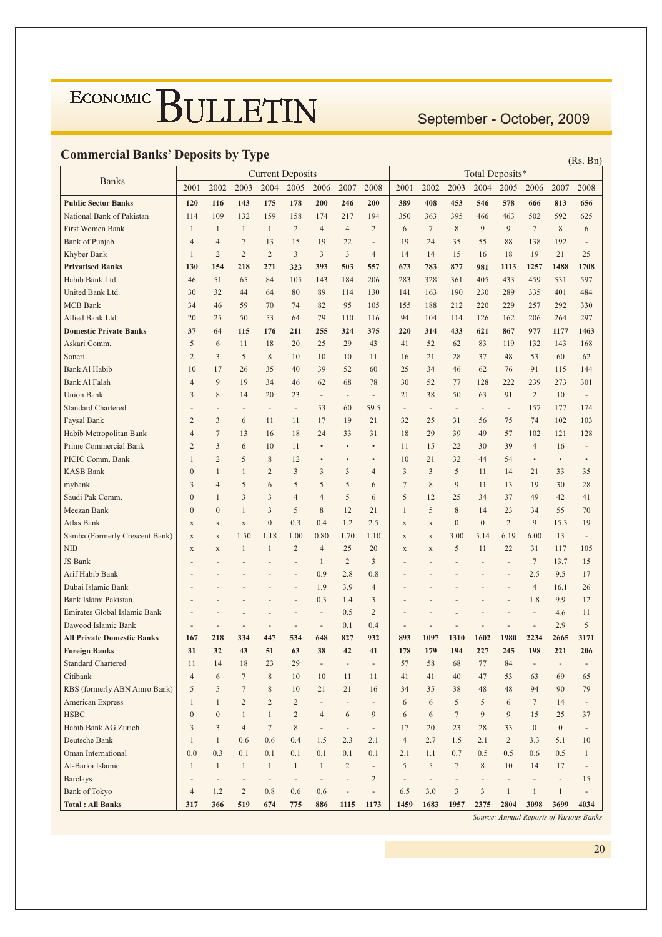September - October, 2009

#### **Commercial Banks' Deposits by Type**

| Commercial Danks' Deposits by Type | <b>Current Deposits</b><br>Total Deposits* |                              |                          |                          |                              |                          |                          |                              |                          |                |                          |                          |                              | (Rs. Bn)                 |                          |                          |
|------------------------------------|--------------------------------------------|------------------------------|--------------------------|--------------------------|------------------------------|--------------------------|--------------------------|------------------------------|--------------------------|----------------|--------------------------|--------------------------|------------------------------|--------------------------|--------------------------|--------------------------|
|                                    |                                            |                              |                          |                          |                              |                          |                          |                              |                          |                |                          |                          |                              |                          |                          |                          |
| <b>Banks</b>                       | 2001                                       | 2002                         | 2003                     | 2004                     | 2005                         | 2006                     | 2007                     | 2008                         | 2001                     | 2002           | 2003                     | 2004                     | 2005                         | 2006                     | 2007                     | 2008                     |
| <b>Public Sector Banks</b>         | 120                                        | 116                          | 143                      | 175                      | 178                          | 200                      | 246                      | 200                          | 389                      | 408            | 453                      | 546                      | 578                          | 666                      | 813                      | 656                      |
| National Bank of Pakistan          | 114                                        | 109                          | 132                      | 159                      | 158                          | 174                      | 217                      | 194                          | 350                      | 363            | 395                      | 466                      | 463                          | 502                      | 592                      | 625                      |
| First Women Bank                   | $\mathbf{1}$                               | $\mathbf{1}$                 | $\mathbf{1}$             | $\mathbf{1}$             | $\overline{c}$               | 4                        | $\overline{4}$           | 2                            | 6                        | 7              | $\,$ 8 $\,$              | 9                        | 9                            | $\tau$                   | 8                        | 6                        |
| <b>Bank of Punjab</b>              | $\overline{4}$                             | 4                            | $\overline{7}$           | 13                       | 15                           | 19                       | 22                       | ÷,                           | 19                       | 24             | 35                       | 55                       | 88                           | 138                      | 192                      | $\overline{\phantom{m}}$ |
| Khyber Bank                        | $\mathbf{1}$                               | 2                            | $\overline{2}$           | $\overline{2}$           | 3                            | 3                        | 3                        | $\overline{4}$               | 14                       | 14             | 15                       | 16                       | 18                           | 19                       | 21                       | 25                       |
| <b>Privatised Banks</b>            | 130                                        | 154                          | 218                      | 271                      | 323                          | 393                      | 503                      | 557                          | 673                      | 783            | 877                      | 981                      | 1113                         | 1257                     | 1488                     | 1708                     |
| Habib Bank Ltd.                    | 46                                         | 51                           | 65                       | 84                       | 105                          | 143                      | 184                      | 206                          | 283                      | 328            | 361                      | 405                      | 433                          | 459                      | 531                      | 597                      |
| United Bank Ltd.                   | 30                                         | 32                           | 44                       | 64                       | 80                           | 89                       | 114                      | 130                          | 141                      | 163            | 190                      | 230                      | 289                          | 335                      | 401                      | 484                      |
| <b>MCB</b> Bank                    | 34                                         | 46                           | 59                       | 70                       | 74                           | 82                       | 95                       | 105                          | 155                      | 188            | 212                      | 220                      | 229                          | 257                      | 292                      | 330                      |
| Allied Bank Ltd.                   | 20                                         | 25                           | 50                       | 53                       | 64                           | 79                       | 110                      | 116                          | 94                       | 104            | 114                      | 126                      | 162                          | 206                      | 264                      | 297                      |
| <b>Domestic Private Banks</b>      | 37                                         | 64                           | 115                      | 176                      | 211                          | 255                      | 324                      | 375                          | 220                      | 314            | 433                      | 621                      | 867                          | 977                      | 1177                     | 1463                     |
| Askari Comm.                       | 5                                          | 6                            | 11                       | 18                       | 20                           | 25                       | 29                       | 43                           | 41                       | 52             | 62                       | 83                       | 119                          | 132                      | 143                      | 168                      |
| Soneri                             | $\overline{c}$                             | 3                            | 5                        | 8                        | 10                           | 10                       | 10                       | 11                           | 16                       | 21             | 28                       | 37                       | 48                           | 53                       | 60                       | 62                       |
| <b>Bank Al Habib</b>               | 10                                         | 17                           | 26                       | 35                       | 40                           | 39                       | 52                       | 60                           | 25                       | 34             | 46                       | 62                       | 76                           | 91                       | 115                      | 144                      |
| Bank Al Falah                      | $\overline{4}$                             | 9                            | 19                       | 34                       | 46                           | 62                       | 68                       | 78                           | 30                       | 52             | 77                       | 128                      | 222                          | 239                      | 273                      | 301                      |
| <b>Union Bank</b>                  | 3                                          | 8                            | 14                       | 20                       | 23                           | $\overline{\phantom{a}}$ | $\overline{\phantom{a}}$ | $\overline{\phantom{a}}$     | 21                       | 38             | 50                       | 63                       | 91                           | 2                        | 10                       | $\overline{a}$           |
| <b>Standard Chartered</b>          |                                            | $\overline{a}$               | $\overline{a}$           | $\overline{\phantom{a}}$ | $\overline{\phantom{a}}$     | 53                       | 60                       | 59.5                         | $\overline{\phantom{a}}$ | $\bar{ }$      | $\overline{a}$           | $\overline{\phantom{a}}$ | $\overline{\phantom{a}}$     | 157                      | 177                      | 174                      |
| Faysal Bank                        | $\overline{2}$                             | 3                            | 6                        | 11                       | 11                           | 17                       | 19                       | 21                           | 32                       | 25             | 31                       | 56                       | 75                           | 74                       | 102                      | 103                      |
| Habib Metropolitan Bank            | $\overline{4}$                             | $\tau$                       | 13                       | 16                       | 18                           | 24                       | 33                       | 31                           | 18                       | 29             | 39                       | 49                       | 57                           | 102                      | 121                      | 128                      |
| Prime Commercial Bank              | $\overline{c}$                             | 3                            | 6                        | 10                       | 11                           | $\bullet$                | $\bullet$                | $\bullet$                    | 11                       | 15             | 22                       | 30                       | 39                           | $\overline{4}$           | 16                       | $\overline{\phantom{a}}$ |
| PICIC Comm. Bank                   | 1                                          | $\overline{2}$               | 5                        | 8                        | 12                           | $\bullet$                | $\bullet$                | $\bullet$                    | 10                       | 21             | 32                       | 44                       | 54                           | $\bullet$                | $\bullet$                | $\bullet$                |
| <b>KASB Bank</b>                   | $\boldsymbol{0}$                           | $\mathbf{1}$                 | 1                        | $\overline{2}$           | 3                            | 3                        | 3                        | 4                            | 3                        | 3              | 5                        | 11                       | 14                           | 21                       | 33                       | 35                       |
| mybank                             | 3                                          | $\overline{4}$               | 5                        | 6                        | 5                            | 5                        | 5                        | 6                            | $\overline{7}$           | 8              | 9                        | 11                       | 13                           | 19                       | 30                       | 28                       |
| Saudi Pak Comm.                    | $\mathbf{0}$                               | $\mathbf{1}$                 | 3                        | 3                        | $\overline{4}$               | $\overline{4}$           | 5                        | 6                            | 5                        | 12             | 25                       | 34                       | 37                           | 49                       | 42                       | 41                       |
| Meezan Bank                        | $\mathbf{0}$                               | $\overline{0}$               | 1                        | 3                        | 5                            | 8                        | 12                       | 21                           | 1                        | 5              | 8                        | 14                       | 23                           | 34                       | 55                       | 70                       |
| Atlas Bank                         | $\mathbf X$                                | X                            | $\mathbf X$              | $\boldsymbol{0}$         | 0.3                          | 0.4                      | 1.2                      | 2.5                          | $\mathbf X$              | $\mathbf X$    | $\mathbf{0}$             | $\boldsymbol{0}$         | $\overline{c}$               | 9                        | 15.3                     | 19                       |
| Samba (Formerly Crescent Bank)     | $\mathbf X$                                | $\mathbf X$                  | 1.50                     | 1.18                     | 1.00                         | 0.80                     | 1.70                     | 1.10                         | $\mathbf X$              | $\mathbf X$    | 3.00                     | 5.14                     | 6.19                         | 6.00                     | 13                       | $\overline{a}$           |
| <b>NIB</b>                         | $\mathbf X$                                | $\mathbf X$                  | 1                        | $\mathbf{1}$             | $\overline{2}$               | $\overline{4}$           | 25                       | 20                           | $\mathbf X$              | $\mathbf X$    | 5                        | 11                       | 22                           | 31                       | 117                      | 105                      |
| JS Bank                            |                                            |                              |                          |                          |                              | $\mathbf{1}$             | $\overline{2}$           | 3                            |                          |                |                          |                          | $\overline{a}$               | 7                        | 13.7                     | 15                       |
| Arif Habib Bank                    |                                            |                              |                          |                          |                              | 0.9                      | 2.8                      | 0.8                          |                          |                |                          |                          |                              | 2.5                      | 9.5                      | 17                       |
| Dubai Islamic Bank                 |                                            |                              |                          |                          |                              | 1.9                      | 3.9                      | 4                            |                          |                |                          |                          |                              | 4                        | 16.1                     | 26                       |
| Bank Islami Pakistan               |                                            |                              |                          |                          |                              | 0.3                      | 1.4                      | 3                            |                          |                |                          |                          |                              | 1.8                      | 9.9                      | 12                       |
| Emirates Global Islamic Bank       |                                            |                              |                          |                          |                              | ÷,                       | 0.5                      | 2                            |                          |                |                          |                          |                              | $\overline{a}$           | 4.6                      | 11                       |
| Dawood Islamic Bank                |                                            |                              | $\overline{a}$           |                          |                              | $\overline{\phantom{a}}$ | 0.1                      | 0.4                          |                          |                |                          |                          |                              | $\overline{a}$           | 2.9                      | 5                        |
| <b>All Private Domestic Banks</b>  | 167                                        | 218                          | 334                      | 447                      | 534                          | 648                      | 827                      | 932                          | 893                      | 1097           | 1310                     | 1602                     | 1980                         | 2234                     | 2665                     | 3171                     |
| <b>Foreign Banks</b>               | 31                                         | 32                           | 43                       | 51                       | 63                           | 38                       | 42                       | 41                           | 178                      | 179            | 194                      | 227                      | 245                          | 198                      | 221                      | 206                      |
| <b>Standard Chartered</b>          | 11                                         | 14                           | 18                       | 23                       | 29                           | $\overline{\phantom{a}}$ | $\overline{\phantom{a}}$ | $\overline{\phantom{a}}$     | 57                       | 58             | 68                       | 77                       | 84                           | $\overline{\phantom{a}}$ | $\overline{\phantom{m}}$ | $\overline{\phantom{a}}$ |
| Citibank                           | $\overline{4}$                             | 6                            | $\tau$                   | $\,$ 8 $\,$              | $10\,$                       | 10                       | 11                       | 11                           | 41                       | 41             | 40                       | 47                       | 53                           | 63                       | 69                       | 65                       |
| RBS (formerly ABN Amro Bank)       | 5                                          | 5                            | $\tau$                   | $\,$ 8 $\,$              | 10                           | 21                       | 21                       | 16                           | 34                       | 35             | 38                       | 48                       | 48                           | 94                       | 90                       | 79                       |
| American Express                   | $\mathbf{1}$                               | $\mathbf{1}$                 | $\overline{2}$           | $\sqrt{2}$               | $\sqrt{2}$                   | $\overline{\phantom{0}}$ | -                        | $\qquad \qquad \blacksquare$ | 6                        | 6              | 5                        | $\sqrt{5}$               | 6                            | $7\phantom{.0}$          | 14                       | $\overline{\phantom{m}}$ |
| <b>HSBC</b>                        | $\boldsymbol{0}$                           | $\boldsymbol{0}$             | $\mathbf{1}$             | $\mathbf{1}$             | $\overline{c}$               | $\overline{4}$           | 6                        | 9                            | 6                        | 6              | $\boldsymbol{7}$         | 9                        | 9                            | 15                       | 25                       | 37                       |
| Habib Bank AG Zurich               | 3                                          | 3                            | $\overline{4}$           | $\boldsymbol{7}$         | $\,$ 8 $\,$                  | $\overline{\phantom{a}}$ | $\overline{\phantom{a}}$ | $\overline{\phantom{a}}$     | 17                       | 20             | 23                       | 28                       | 33                           | $\boldsymbol{0}$         | $\boldsymbol{0}$         |                          |
| Deutsche Bank                      | $\mathbf{1}$                               | $\mathbf{1}$                 | 0.6                      | 0.6                      | 0.4                          | 1.5                      | 2.3                      | 2.1                          | $\overline{4}$           | 2.7            | 1.5                      | 2.1                      | $\overline{c}$               | 3.3                      | 5.1                      | 10                       |
| Oman International                 | 0.0                                        | 0.3                          | 0.1                      | 0.1                      | 0.1                          | 0.1                      | 0.1                      | 0.1                          | 2.1                      | 1.1            | 0.7                      | 0.5                      | 0.5                          | 0.6                      | 0.5                      | $\mathbf{1}$             |
| Al-Barka Islamic                   | $\mathbf{1}$                               | $\mathbf{1}$                 | $\mathbf{1}$             | $\mathbf{1}$             | $\mathbf{1}$                 | $\mathbf{1}$             | $\overline{2}$           | $\blacksquare$               | 5                        | 5              | $\boldsymbol{7}$         | $\,$ 8 $\,$              | 10                           | 14                       | 17                       | $\frac{1}{2}$            |
| <b>Barclays</b>                    | $\qquad \qquad -$                          | $\qquad \qquad \blacksquare$ | $\overline{\phantom{a}}$ | $\overline{\phantom{a}}$ | $\qquad \qquad \blacksquare$ | $\overline{\phantom{a}}$ | -                        | $\sqrt{2}$                   | $\overline{a}$           | $\blacksquare$ | $\overline{\phantom{a}}$ | $\overline{\phantom{a}}$ | $\qquad \qquad \blacksquare$ | $\blacksquare$           | $\blacksquare$           | 15                       |
| <b>Bank of Tokyo</b>               | $\overline{4}$                             | 1.2                          | $\overline{c}$           | 0.8                      | 0.6                          | 0.6                      | $\overline{\phantom{a}}$ | $\overline{\phantom{a}}$     | 6.5                      | 3.0            | 3                        | $\mathfrak{Z}$           | $\mathbf{1}$                 | $\mathbf{1}$             | $\mathbf{1}$             | $\overline{\phantom{a}}$ |
| <b>Total: All Banks</b>            | 317                                        | 366                          | 519                      | 674                      | 775                          | 886                      | 1115                     | 1173                         | 1459                     | 1683           | 1957                     | 2375                     | 2804                         | 3098                     | 3699                     | 4034                     |

Source: Annual Reports of Various Banks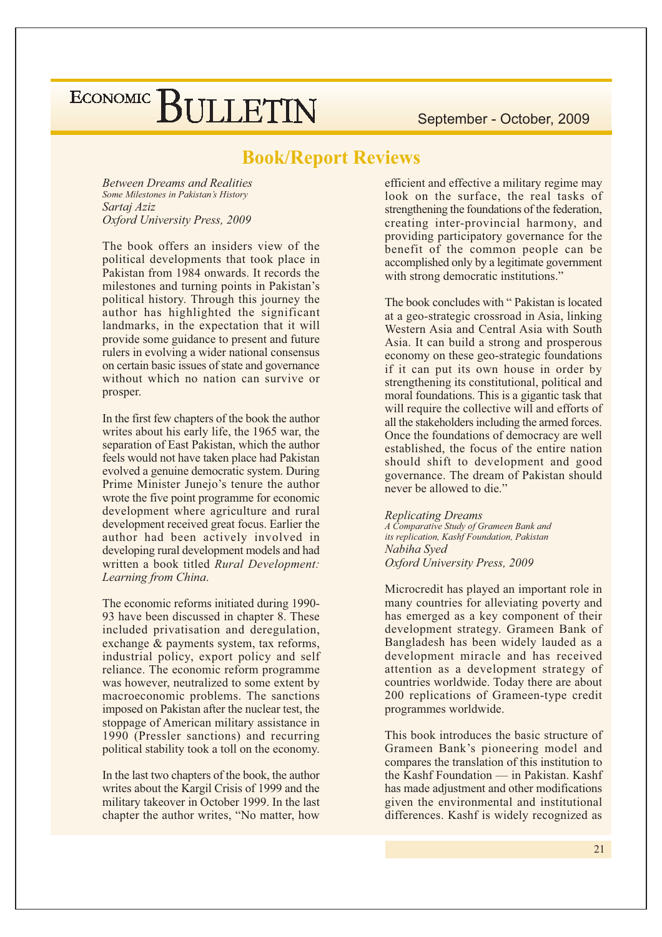#### **Book/Report Reviews**

**Between Dreams and Realities** Some Milestones in Pakistan's History Sartai Aziz Oxford University Press, 2009

The book offers an insiders view of the political developments that took place in Pakistan from 1984 onwards. It records the milestones and turning points in Pakistan's political history. Through this journey the author has highlighted the significant landmarks, in the expectation that it will provide some guidance to present and future rulers in evolving a wider national consensus on certain basic issues of state and governance without which no nation can survive or prosper.

In the first few chapters of the book the author writes about his early life, the 1965 war, the separation of East Pakistan, which the author feels would not have taken place had Pakistan evolved a genuine democratic system. During Prime Minister Junejo's tenure the author wrote the five point programme for economic development where agriculture and rural development received great focus. Earlier the author had been actively involved in developing rural development models and had written a book titled Rural Development: Learning from China.

The economic reforms initiated during 1990-93 have been discussed in chapter 8. These included privatisation and deregulation, exchange & payments system, tax reforms, industrial policy, export policy and self reliance. The economic reform programme was however, neutralized to some extent by macroeconomic problems. The sanctions imposed on Pakistan after the nuclear test, the stoppage of American military assistance in 1990 (Pressler sanctions) and recurring political stability took a toll on the economy.

In the last two chapters of the book, the author writes about the Kargil Crisis of 1999 and the military takeover in October 1999. In the last chapter the author writes, "No matter, how

efficient and effective a military regime may look on the surface, the real tasks of strengthening the foundations of the federation, creating inter-provincial harmony, and providing participatory governance for the benefit of the common people can be accomplished only by a legitimate government with strong democratic institutions."

The book concludes with "Pakistan is located at a geo-strategic crossroad in Asia, linking Western Asia and Central Asia with South Asia. It can build a strong and prosperous economy on these geo-strategic foundations if it can put its own house in order by strengthening its constitutional, political and moral foundations. This is a gigantic task that will require the collective will and efforts of all the stakeholders including the armed forces. Once the foundations of democracy are well established, the focus of the entire nation should shift to development and good governance. The dream of Pakistan should never be allowed to die."

**Replicating Dreams** A Comparative Study of Grameen Bank and its replication, Kashf Foundation, Pakistan Nabiha Sved Oxford University Press, 2009

Microcredit has played an important role in many countries for alleviating poverty and has emerged as a key component of their development strategy. Grameen Bank of Bangladesh has been widely lauded as a development miracle and has received attention as a development strategy of countries worldwide. Today there are about 200 replications of Grameen-type credit programmes worldwide.

This book introduces the basic structure of Grameen Bank's pioneering model and compares the translation of this institution to the Kashf Foundation — in Pakistan, Kashf has made adjustment and other modifications given the environmental and institutional differences. Kashf is widely recognized as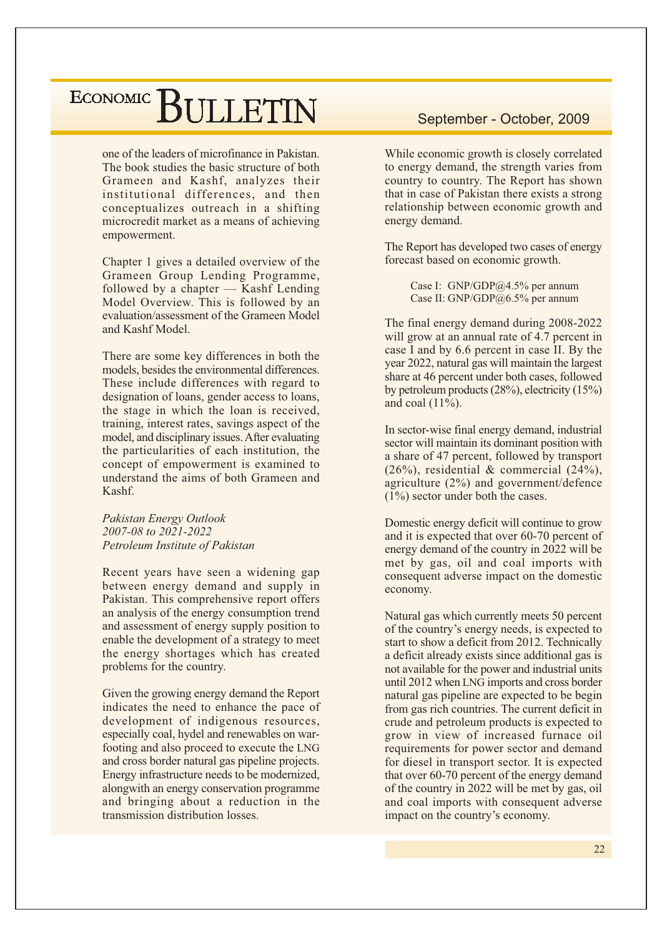one of the leaders of microfinance in Pakistan. The book studies the basic structure of both Grameen and Kashf, analyzes their institutional differences, and then conceptualizes outreach in a shifting microcredit market as a means of achieving empowerment.

Chapter 1 gives a detailed overview of the Grameen Group Lending Programme, followed by a chapter — Kashf Lending Model Overview. This is followed by an evaluation/assessment of the Grameen Model and Kashf Model

There are some key differences in both the models, besides the environmental differences. These include differences with regard to designation of loans, gender access to loans, the stage in which the loan is received, training, interest rates, savings aspect of the model, and disciplinary issues. After evaluating the particularities of each institution, the concept of empowerment is examined to understand the aims of both Grameen and Kashf.

Pakistan Energy Outlook 2007-08 to 2021-2022 Petroleum Institute of Pakistan

Recent years have seen a widening gap between energy demand and supply in Pakistan. This comprehensive report offers an analysis of the energy consumption trend and assessment of energy supply position to enable the development of a strategy to meet the energy shortages which has created problems for the country.

Given the growing energy demand the Report indicates the need to enhance the pace of development of indigenous resources, especially coal, hydel and renewables on warfooting and also proceed to execute the LNG and cross border natural gas pipeline projects. Energy infrastructure needs to be modernized, alongwith an energy conservation programme and bringing about a reduction in the transmission distribution losses.

#### September - October, 2009

While economic growth is closely correlated to energy demand, the strength varies from country to country. The Report has shown that in case of Pakistan there exists a strong relationship between economic growth and energy demand.

The Report has developed two cases of energy forecast based on economic growth.

> Case I: GNP/GDP@4.5% per annum Case II: GNP/GDP@6.5% per annum

The final energy demand during 2008-2022 will grow at an annual rate of 4.7 percent in case I and by 6.6 percent in case II. By the year 2022, natural gas will maintain the largest share at 46 percent under both cases, followed by petroleum products  $(28\%)$ , electricity  $(15\%)$ and coal  $(11\%)$ .

In sector-wise final energy demand, industrial sector will maintain its dominant position with a share of 47 percent, followed by transport  $(26\%)$ , residential & commercial  $(24\%)$ , agriculture  $(2\%)$  and government/defence  $(1\%)$  sector under both the cases.

Domestic energy deficit will continue to grow and it is expected that over 60-70 percent of energy demand of the country in 2022 will be met by gas, oil and coal imports with consequent adverse impact on the domestic economy.

Natural gas which currently meets 50 percent of the country's energy needs, is expected to start to show a deficit from 2012. Technically a deficit already exists since additional gas is not available for the power and industrial units until 2012 when LNG imports and cross border natural gas pipeline are expected to be begin from gas rich countries. The current deficit in crude and petroleum products is expected to grow in view of increased furnace oil requirements for power sector and demand for diesel in transport sector. It is expected that over 60-70 percent of the energy demand of the country in 2022 will be met by gas, oil and coal imports with consequent adverse impact on the country's economy.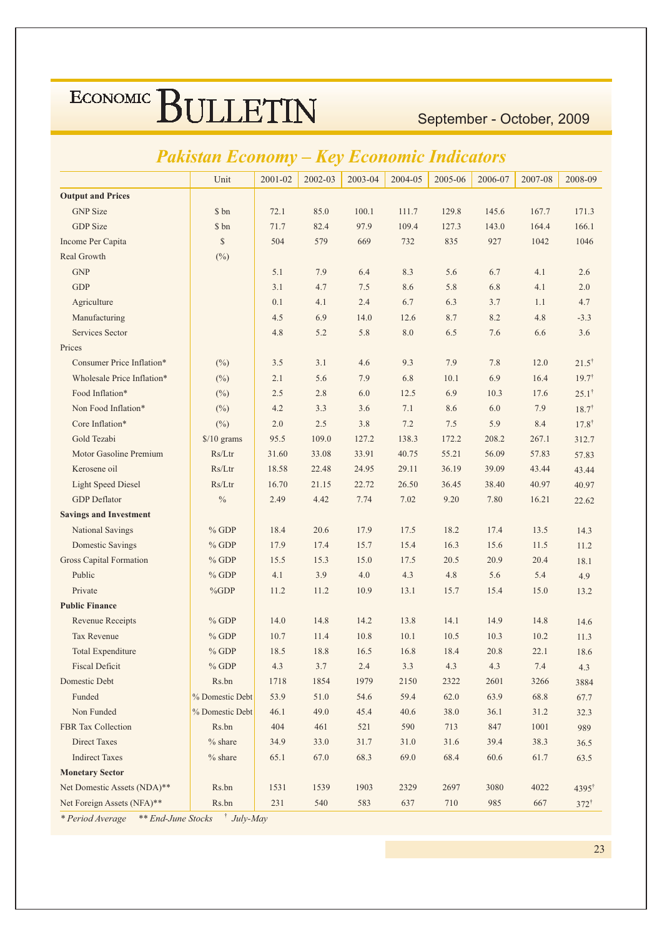September - October, 2009

#### **Pakistan Economy - Key Economic Indicators**

|                                | Unit                 | 2001-02 | 2002-03 | 2003-04 | 2004-05 | 2005-06 | 2006-07 | 2007-08 | 2008-09           |
|--------------------------------|----------------------|---------|---------|---------|---------|---------|---------|---------|-------------------|
| <b>Output and Prices</b>       |                      |         |         |         |         |         |         |         |                   |
| <b>GNP</b> Size                | \$ bn                | 72.1    | 85.0    | 100.1   | 111.7   | 129.8   | 145.6   | 167.7   | 171.3             |
| <b>GDP</b> Size                | \$ bn                | 71.7    | 82.4    | 97.9    | 109.4   | 127.3   | 143.0   | 164.4   | 166.1             |
| Income Per Capita              | \$                   | 504     | 579     | 669     | 732     | 835     | 927     | 1042    | 1046              |
| Real Growth                    | $(^{0}_{0})$         |         |         |         |         |         |         |         |                   |
| <b>GNP</b>                     |                      | 5.1     | 7.9     | 6.4     | 8.3     | 5.6     | 6.7     | 4.1     | 2.6               |
| <b>GDP</b>                     |                      | 3.1     | 4.7     | 7.5     | 8.6     | 5.8     | 6.8     | 4.1     | 2.0               |
| Agriculture                    |                      | 0.1     | 4.1     | 2.4     | 6.7     | 6.3     | 3.7     | 1.1     | 4.7               |
| Manufacturing                  |                      | 4.5     | 6.9     | 14.0    | 12.6    | 8.7     | 8.2     | 4.8     | $-3.3$            |
| Services Sector                |                      | 4.8     | 5.2     | 5.8     | 8.0     | 6.5     | 7.6     | 6.6     | 3.6               |
| Prices                         |                      |         |         |         |         |         |         |         |                   |
| Consumer Price Inflation*      | $(\%)$               | 3.5     | 3.1     | 4.6     | 9.3     | 7.9     | 7.8     | 12.0    | $21.5^{\dagger}$  |
| Wholesale Price Inflation*     | $(\%)$               | 2.1     | 5.6     | 7.9     | 6.8     | 10.1    | 6.9     | 16.4    | $19.7^{\dagger}$  |
| Food Inflation*                | $(\%)$               | 2.5     | 2.8     | 6.0     | 12.5    | 6.9     | 10.3    | 17.6    | $25.1^{\dagger}$  |
| Non Food Inflation*            | $(\%)$               | 4.2     | 3.3     | 3.6     | 7.1     | 8.6     | 6.0     | 7.9     | $18.7^{\dagger}$  |
| Core Inflation*                | $(\%)$               | 2.0     | 2.5     | 3.8     | 7.2     | 7.5     | 5.9     | 8.4     | $17.8^{\dagger}$  |
| Gold Tezabi                    | $\frac{$}{10}$ grams | 95.5    | 109.0   | 127.2   | 138.3   | 172.2   | 208.2   | 267.1   | 312.7             |
| Motor Gasoline Premium         | Rs/Ltr               | 31.60   | 33.08   | 33.91   | 40.75   | 55.21   | 56.09   | 57.83   | 57.83             |
| Kerosene oil                   | Rs/Ltr               | 18.58   | 22.48   | 24.95   | 29.11   | 36.19   | 39.09   | 43.44   | 43.44             |
| <b>Light Speed Diesel</b>      | Rs/Ltr               | 16.70   | 21.15   | 22.72   | 26.50   | 36.45   | 38.40   | 40.97   | 40.97             |
| <b>GDP</b> Deflator            | $\%$                 | 2.49    | 4.42    | 7.74    | 7.02    | 9.20    | 7.80    | 16.21   | 22.62             |
| <b>Savings and Investment</b>  |                      |         |         |         |         |         |         |         |                   |
| National Savings               | $%$ GDP              | 18.4    | 20.6    | 17.9    | 17.5    | 18.2    | 17.4    | 13.5    | 14.3              |
| <b>Domestic Savings</b>        | $%$ GDP              | 17.9    | 17.4    | 15.7    | 15.4    | 16.3    | 15.6    | 11.5    | 11.2              |
| <b>Gross Capital Formation</b> | $%$ GDP              | 15.5    | 15.3    | 15.0    | 17.5    | 20.5    | 20.9    | 20.4    | 18.1              |
| Public                         | $%$ GDP              | 4.1     | 3.9     | $4.0\,$ | 4.3     | 4.8     | 5.6     | 5.4     | 4.9               |
| Private                        | %GDP                 | 11.2    | 11.2    | 10.9    | 13.1    | 15.7    | 15.4    | 15.0    | 13.2              |
| <b>Public Finance</b>          |                      |         |         |         |         |         |         |         |                   |
| <b>Revenue Receipts</b>        | $%$ GDP              | 14.0    | 14.8    | 14.2    | 13.8    | 14.1    | 14.9    | 14.8    | 14.6              |
| <b>Tax Revenue</b>             | $%$ GDP              | 10.7    | 11.4    | 10.8    | 10.1    | 10.5    | 10.3    | 10.2    | 11.3              |
| <b>Total Expenditure</b>       | $%$ GDP              | 18.5    | 18.8    | 16.5    | 16.8    | 18.4    | 20.8    | 22.1    | 18.6              |
| <b>Fiscal Deficit</b>          | $%$ GDP              | 4.3     | 3.7     | 2.4     | 3.3     | 4.3     | 4.3     | 7.4     | 4.3               |
| Domestic Debt                  | Rs.bn                | 1718    | 1854    | 1979    | 2150    | 2322    | 2601    | 3266    | 3884              |
| Funded                         | % Domestic Debt      | 53.9    | 51.0    | 54.6    | 59.4    | 62.0    | 63.9    | 68.8    | 67.7              |
| Non Funded                     | % Domestic Debt      | 46.1    | 49.0    | 45.4    | 40.6    | 38.0    | 36.1    | 31.2    | 32.3              |
| FBR Tax Collection             | Rs.bn                | 404     | 461     | 521     | 590     | 713     | 847     | 1001    | 989               |
| <b>Direct Taxes</b>            | $%$ share            | 34.9    | 33.0    | 31.7    | 31.0    | 31.6    | 39.4    | 38.3    | 36.5              |
| <b>Indirect Taxes</b>          | $%$ share            | 65.1    | 67.0    | 68.3    | 69.0    | 68.4    | 60.6    | 61.7    | 63.5              |
| <b>Monetary Sector</b>         |                      |         |         |         |         |         |         |         |                   |
| Net Domestic Assets (NDA)**    | Rs.bn                | 1531    | 1539    | 1903    | 2329    | 2697    | 3080    | 4022    | 4395 <sup>†</sup> |
| Net Foreign Assets (NFA)**     | Rs.bn                | 231     | 540     | 583     | 637     | 710     | 985     | 667     | $372^{\dagger}$   |

\* Period Average \*\* End-June Stocks <sup>†</sup> July-May